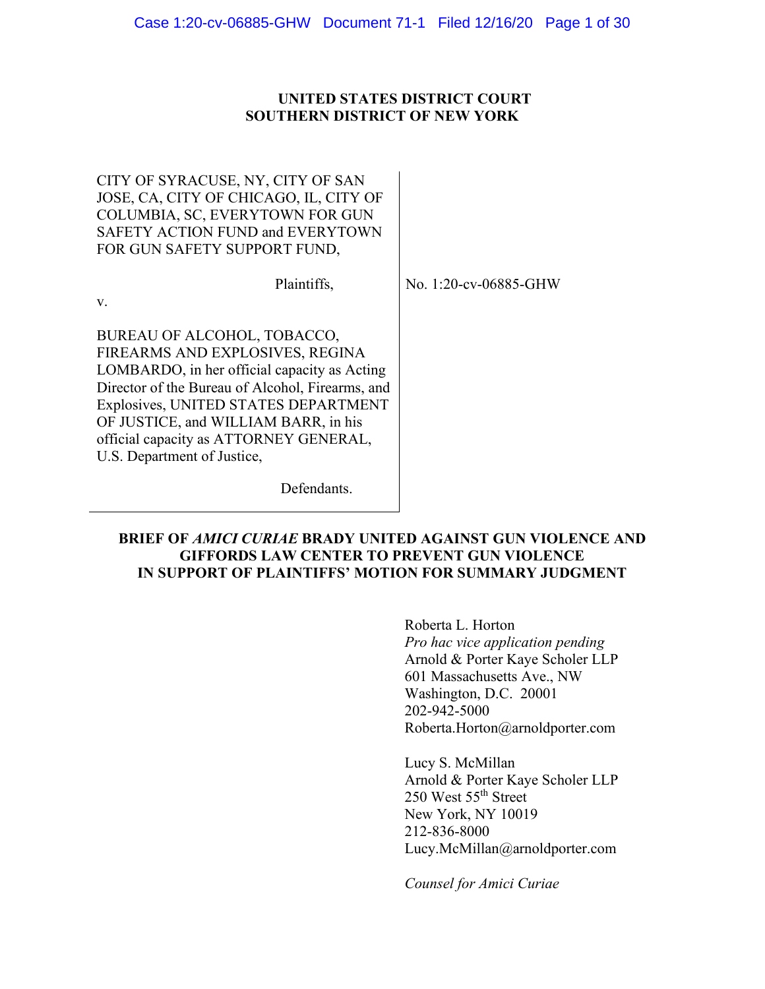## **UNITED STATES DISTRICT COURT SOUTHERN DISTRICT OF NEW YORK**

CITY OF SYRACUSE, NY, CITY OF SAN JOSE, CA, CITY OF CHICAGO, IL, CITY OF COLUMBIA, SC, EVERYTOWN FOR GUN SAFETY ACTION FUND and EVERYTOWN FOR GUN SAFETY SUPPORT FUND,

Plaintiffs,

No. 1:20-cv-06885-GHW

v.

BUREAU OF ALCOHOL, TOBACCO, FIREARMS AND EXPLOSIVES, REGINA LOMBARDO, in her official capacity as Acting Director of the Bureau of Alcohol, Firearms, and Explosives, UNITED STATES DEPARTMENT OF JUSTICE, and WILLIAM BARR, in his official capacity as ATTORNEY GENERAL, U.S. Department of Justice,

Defendants.

# **BRIEF OF** *AMICI CURIAE* **BRADY UNITED AGAINST GUN VIOLENCE AND GIFFORDS LAW CENTER TO PREVENT GUN VIOLENCE IN SUPPORT OF PLAINTIFFS' MOTION FOR SUMMARY JUDGMENT**

Roberta L. Horton *Pro hac vice application pending*  Arnold & Porter Kaye Scholer LLP 601 Massachusetts Ave., NW Washington, D.C. 20001 202-942-5000 Roberta.Horton@arnoldporter.com

Lucy S. McMillan Arnold & Porter Kaye Scholer LLP 250 West 55th Street New York, NY 10019 212-836-8000 Lucy.McMillan@arnoldporter.com

*Counsel for Amici Curiae*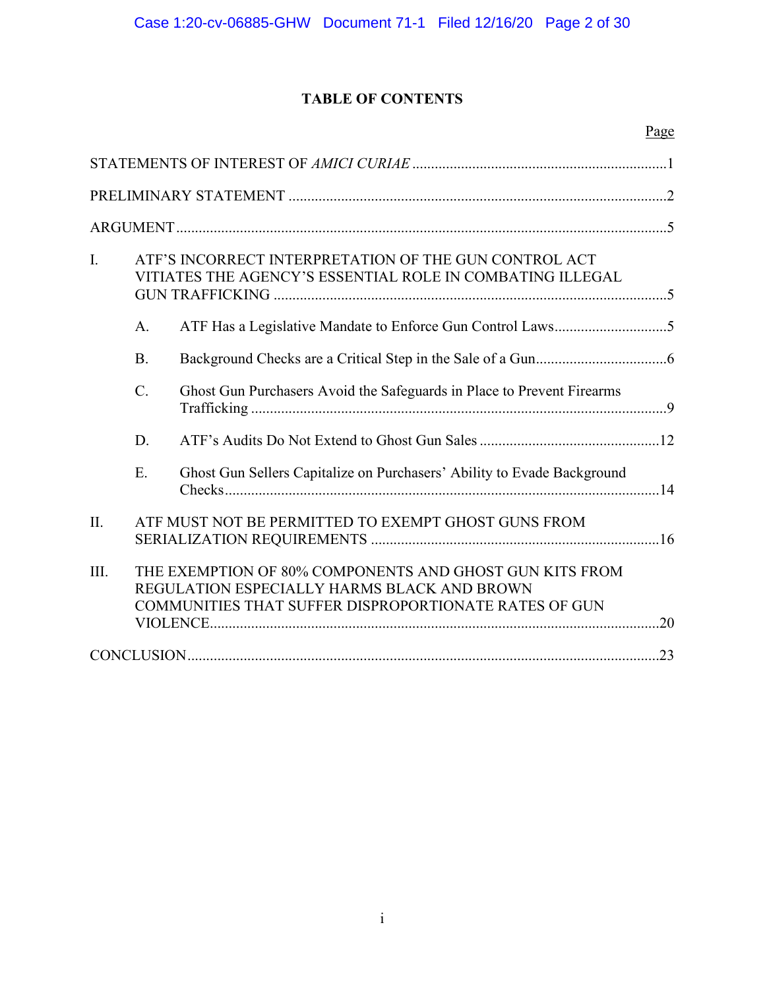# **TABLE OF CONTENTS**

| I.   | ATF'S INCORRECT INTERPRETATION OF THE GUN CONTROL ACT<br>VITIATES THE AGENCY'S ESSENTIAL ROLE IN COMBATING ILLEGAL |                                                                                                                                                                 |  |  |  |
|------|--------------------------------------------------------------------------------------------------------------------|-----------------------------------------------------------------------------------------------------------------------------------------------------------------|--|--|--|
|      | A.                                                                                                                 |                                                                                                                                                                 |  |  |  |
|      | <b>B.</b>                                                                                                          |                                                                                                                                                                 |  |  |  |
|      | $C_{\cdot}$                                                                                                        | Ghost Gun Purchasers Avoid the Safeguards in Place to Prevent Firearms                                                                                          |  |  |  |
|      | D.                                                                                                                 |                                                                                                                                                                 |  |  |  |
|      | E.                                                                                                                 | Ghost Gun Sellers Capitalize on Purchasers' Ability to Evade Background                                                                                         |  |  |  |
| II.  |                                                                                                                    | ATF MUST NOT BE PERMITTED TO EXEMPT GHOST GUNS FROM                                                                                                             |  |  |  |
| III. |                                                                                                                    | THE EXEMPTION OF 80% COMPONENTS AND GHOST GUN KITS FROM<br>REGULATION ESPECIALLY HARMS BLACK AND BROWN<br>COMMUNITIES THAT SUFFER DISPROPORTIONATE RATES OF GUN |  |  |  |
|      |                                                                                                                    |                                                                                                                                                                 |  |  |  |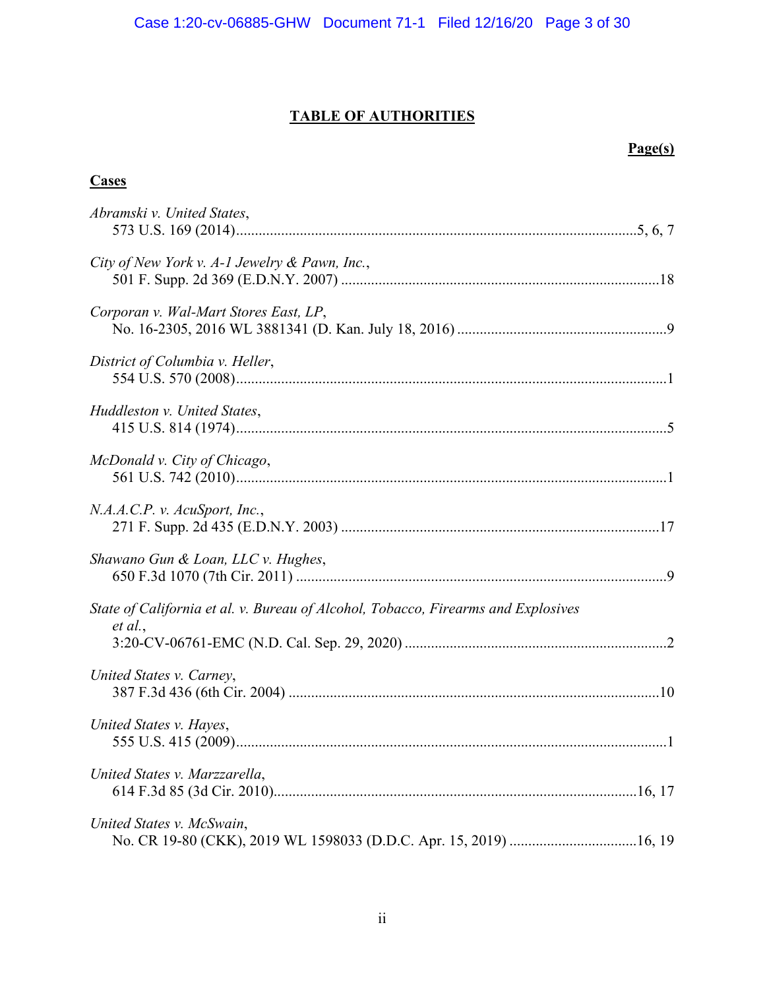# **TABLE OF AUTHORITIES**

# **Page(s)**

# **Cases**

| Abramski v. United States,                                                                   |
|----------------------------------------------------------------------------------------------|
| City of New York v. A-1 Jewelry & Pawn, Inc.,                                                |
| Corporan v. Wal-Mart Stores East, LP,                                                        |
| District of Columbia v. Heller,                                                              |
| Huddleston v. United States,                                                                 |
| McDonald v. City of Chicago,                                                                 |
| N.A.A.C.P. v. AcuSport, Inc.,                                                                |
| Shawano Gun & Loan, LLC v. Hughes,                                                           |
| State of California et al. v. Bureau of Alcohol, Tobacco, Firearms and Explosives<br>et al., |
| United States v. Carney,                                                                     |
| United States v. Hayes,                                                                      |
| United States v. Marzzarella,                                                                |
| United States v. McSwain,                                                                    |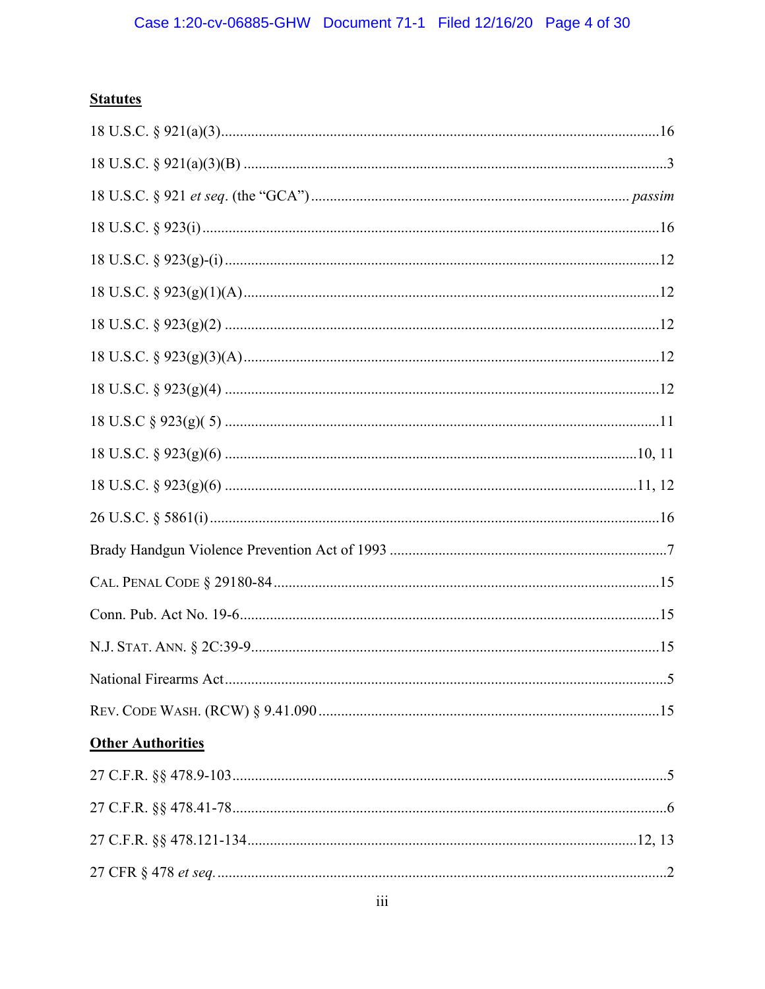# **Statutes**

| <b>Other Authorities</b> |  |
|--------------------------|--|
|                          |  |
|                          |  |
|                          |  |
|                          |  |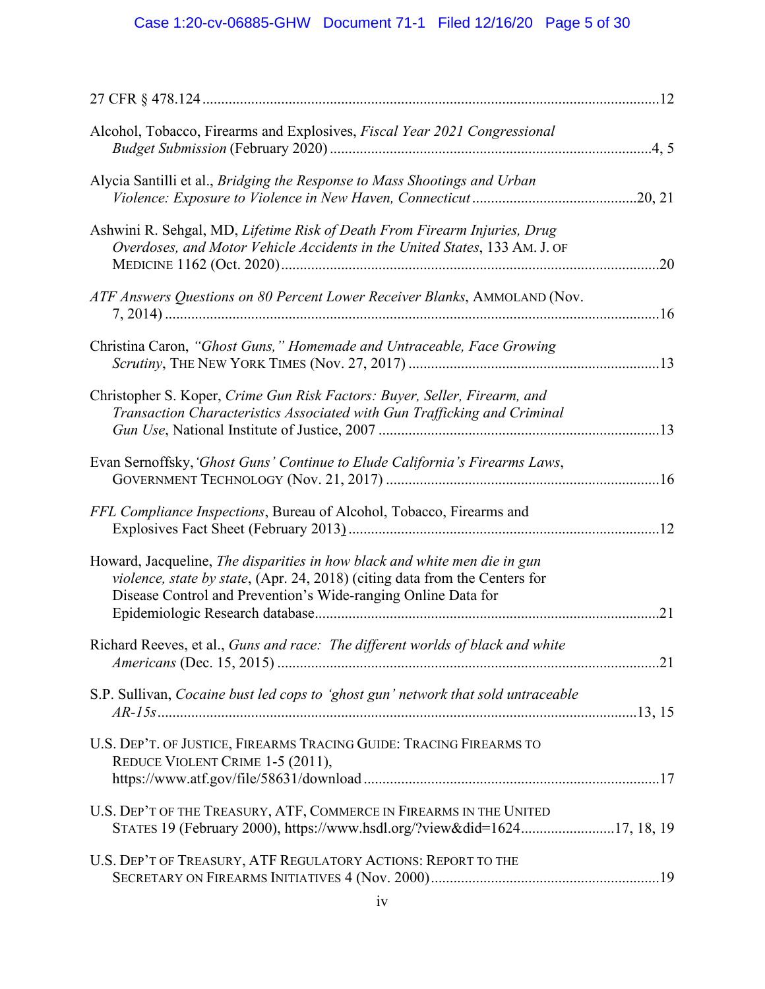# Case 1:20-cv-06885-GHW Document 71-1 Filed 12/16/20 Page 5 of 30

| Alcohol, Tobacco, Firearms and Explosives, Fiscal Year 2021 Congressional                                                                                                                                                 |     |
|---------------------------------------------------------------------------------------------------------------------------------------------------------------------------------------------------------------------------|-----|
| Alycia Santilli et al., Bridging the Response to Mass Shootings and Urban                                                                                                                                                 |     |
| Ashwini R. Sehgal, MD, Lifetime Risk of Death From Firearm Injuries, Drug<br>Overdoses, and Motor Vehicle Accidents in the United States, 133 AM. J. OF                                                                   |     |
| ATF Answers Questions on 80 Percent Lower Receiver Blanks, AMMOLAND (Nov.                                                                                                                                                 |     |
| Christina Caron, "Ghost Guns," Homemade and Untraceable, Face Growing                                                                                                                                                     |     |
| Christopher S. Koper, Crime Gun Risk Factors: Buyer, Seller, Firearm, and<br>Transaction Characteristics Associated with Gun Trafficking and Criminal                                                                     |     |
| Evan Sernoffsky, 'Ghost Guns' Continue to Elude California's Firearms Laws,                                                                                                                                               |     |
| FFL Compliance Inspections, Bureau of Alcohol, Tobacco, Firearms and                                                                                                                                                      |     |
| Howard, Jacqueline, The disparities in how black and white men die in gun<br>violence, state by state, (Apr. 24, 2018) (citing data from the Centers for<br>Disease Control and Prevention's Wide-ranging Online Data for | .21 |
| Richard Reeves, et al., Guns and race: The different worlds of black and white                                                                                                                                            |     |
| S.P. Sullivan, Cocaine bust led cops to 'ghost gun' network that sold untraceable                                                                                                                                         |     |
| U.S. DEP'T. OF JUSTICE, FIREARMS TRACING GUIDE: TRACING FIREARMS TO<br>REDUCE VIOLENT CRIME 1-5 (2011),                                                                                                                   |     |
| U.S. DEP'T OF THE TREASURY, ATF, COMMERCE IN FIREARMS IN THE UNITED<br>STATES 19 (February 2000), https://www.hsdl.org/?view&did=162417, 18, 19                                                                           |     |
| U.S. DEP'T OF TREASURY, ATF REGULATORY ACTIONS: REPORT TO THE                                                                                                                                                             |     |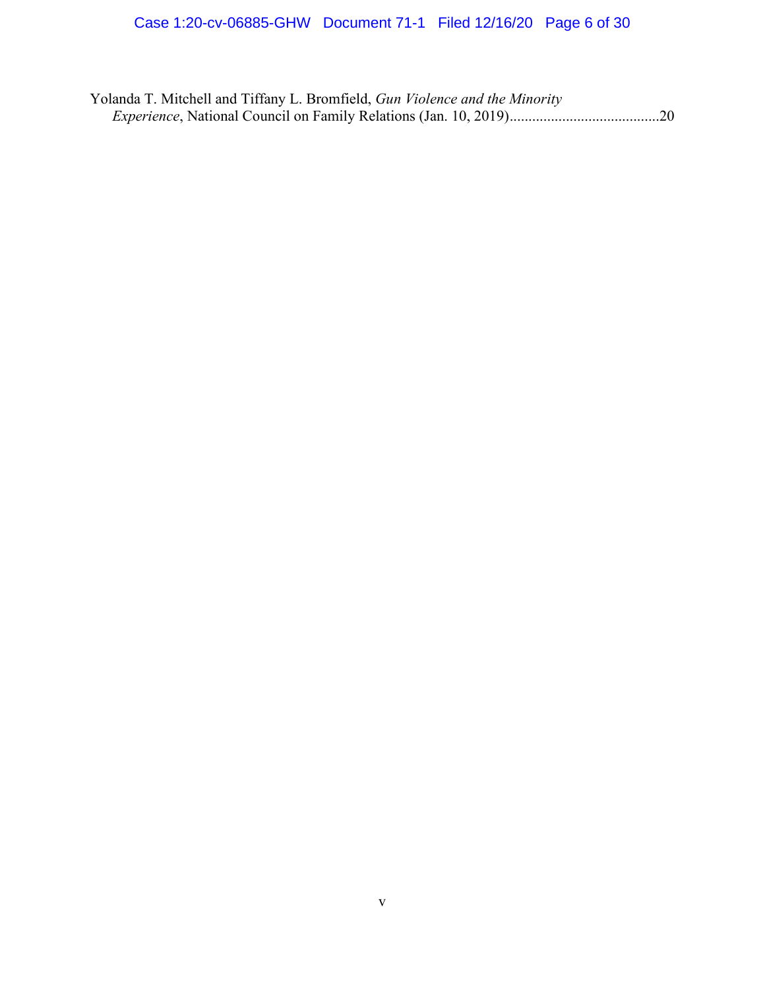Yolanda T. Mitchell and Tiffany L. Bromfield, *Gun Violence and the Minority Experience*, National Council on Family Relations (Jan. 10, 2019) ........................................20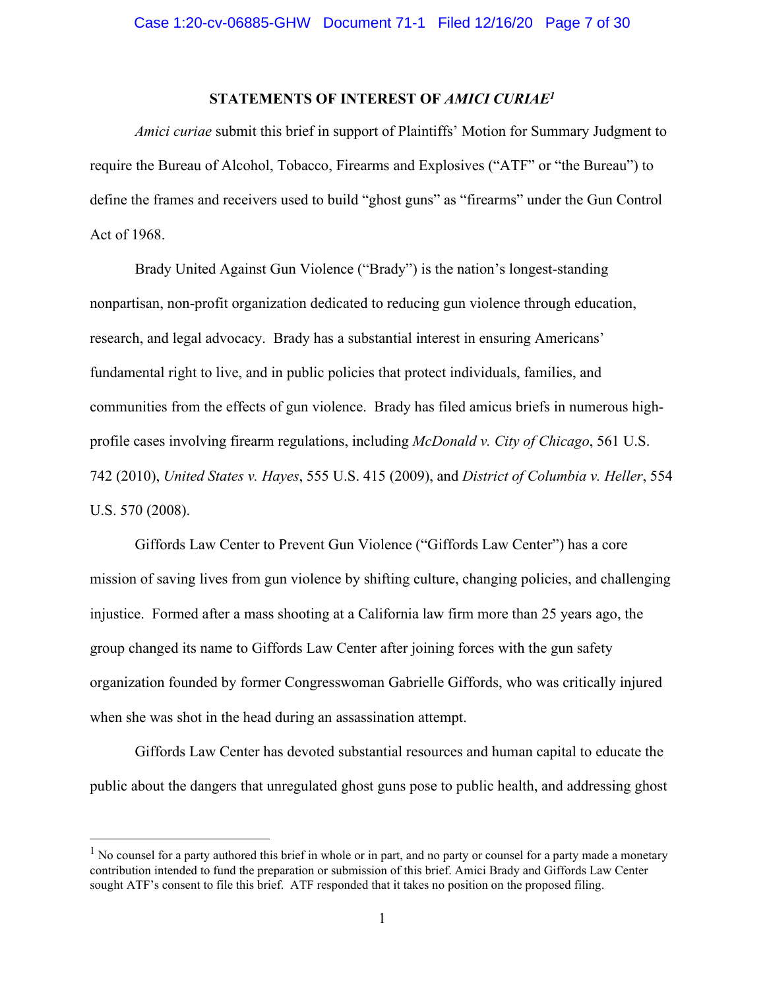## **STATEMENTS OF INTEREST OF** *AMICI CURIAE<sup>1</sup>*

*Amici curiae* submit this brief in support of Plaintiffs' Motion for Summary Judgment to require the Bureau of Alcohol, Tobacco, Firearms and Explosives ("ATF" or "the Bureau") to define the frames and receivers used to build "ghost guns" as "firearms" under the Gun Control Act of 1968.

Brady United Against Gun Violence ("Brady") is the nation's longest-standing nonpartisan, non-profit organization dedicated to reducing gun violence through education, research, and legal advocacy. Brady has a substantial interest in ensuring Americans' fundamental right to live, and in public policies that protect individuals, families, and communities from the effects of gun violence. Brady has filed amicus briefs in numerous highprofile cases involving firearm regulations, including *McDonald v. City of Chicago*, 561 U.S. 742 (2010), *United States v. Hayes*, 555 U.S. 415 (2009), and *District of Columbia v. Heller*, 554 U.S. 570 (2008).

Giffords Law Center to Prevent Gun Violence ("Giffords Law Center") has a core mission of saving lives from gun violence by shifting culture, changing policies, and challenging injustice. Formed after a mass shooting at a California law firm more than 25 years ago, the group changed its name to Giffords Law Center after joining forces with the gun safety organization founded by former Congresswoman Gabrielle Giffords, who was critically injured when she was shot in the head during an assassination attempt.

Giffords Law Center has devoted substantial resources and human capital to educate the public about the dangers that unregulated ghost guns pose to public health, and addressing ghost

 $<sup>1</sup>$  No counsel for a party authored this brief in whole or in part, and no party or counsel for a party made a monetary</sup> contribution intended to fund the preparation or submission of this brief. Amici Brady and Giffords Law Center sought ATF's consent to file this brief. ATF responded that it takes no position on the proposed filing.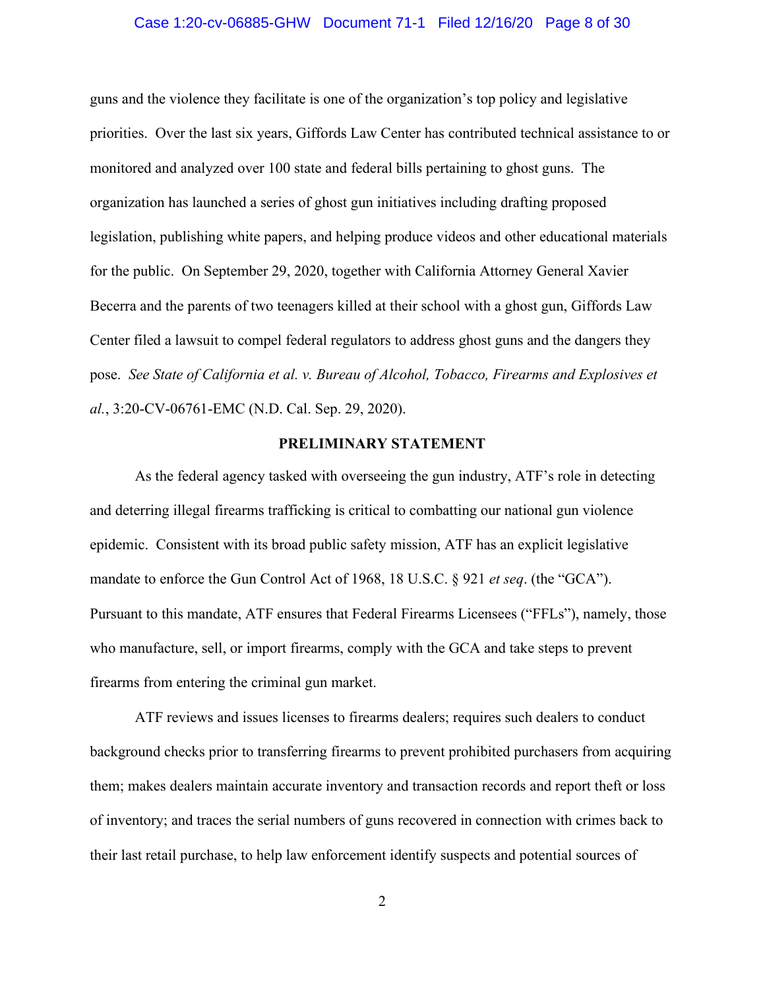#### Case 1:20-cv-06885-GHW Document 71-1 Filed 12/16/20 Page 8 of 30

guns and the violence they facilitate is one of the organization's top policy and legislative priorities. Over the last six years, Giffords Law Center has contributed technical assistance to or monitored and analyzed over 100 state and federal bills pertaining to ghost guns. The organization has launched a series of ghost gun initiatives including drafting proposed legislation, publishing white papers, and helping produce videos and other educational materials for the public. On September 29, 2020, together with California Attorney General Xavier Becerra and the parents of two teenagers killed at their school with a ghost gun, Giffords Law Center filed a lawsuit to compel federal regulators to address ghost guns and the dangers they pose. *See State of California et al. v. Bureau of Alcohol, Tobacco, Firearms and Explosives et al.*, 3:20-CV-06761-EMC (N.D. Cal. Sep. 29, 2020).

## **PRELIMINARY STATEMENT**

As the federal agency tasked with overseeing the gun industry, ATF's role in detecting and deterring illegal firearms trafficking is critical to combatting our national gun violence epidemic. Consistent with its broad public safety mission, ATF has an explicit legislative mandate to enforce the Gun Control Act of 1968, 18 U.S.C. § 921 *et seq*. (the "GCA"). Pursuant to this mandate, ATF ensures that Federal Firearms Licensees ("FFLs"), namely, those who manufacture, sell, or import firearms, comply with the GCA and take steps to prevent firearms from entering the criminal gun market.

ATF reviews and issues licenses to firearms dealers; requires such dealers to conduct background checks prior to transferring firearms to prevent prohibited purchasers from acquiring them; makes dealers maintain accurate inventory and transaction records and report theft or loss of inventory; and traces the serial numbers of guns recovered in connection with crimes back to their last retail purchase, to help law enforcement identify suspects and potential sources of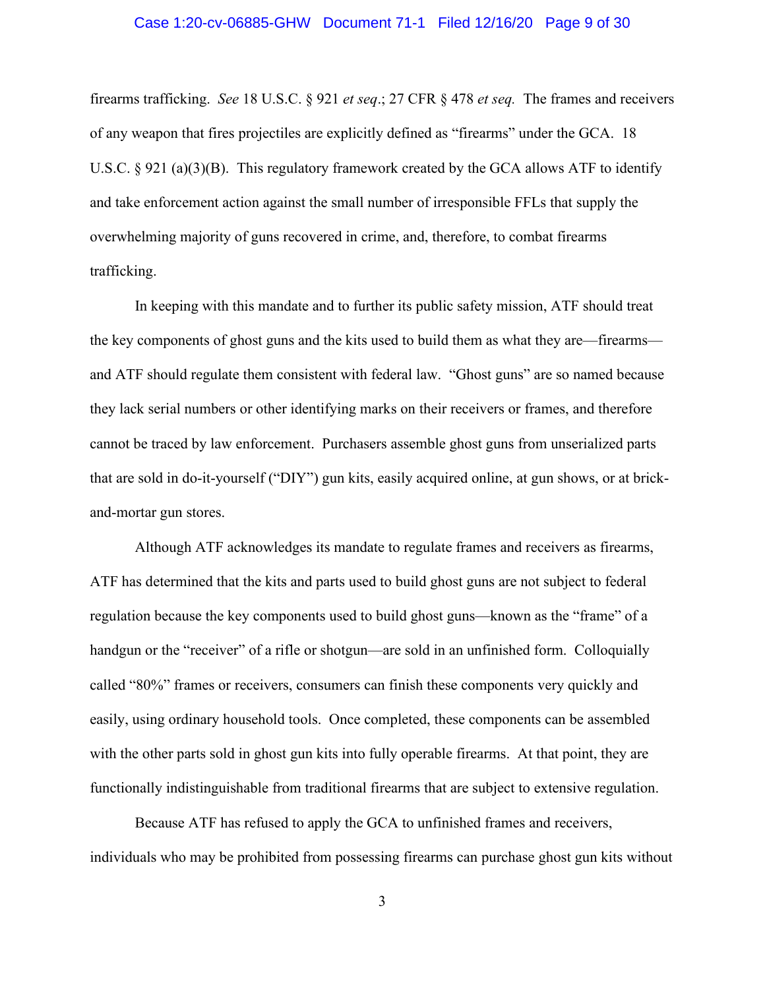#### Case 1:20-cv-06885-GHW Document 71-1 Filed 12/16/20 Page 9 of 30

firearms trafficking. *See* 18 U.S.C. § 921 *et seq*.; 27 CFR § 478 *et seq.* The frames and receivers of any weapon that fires projectiles are explicitly defined as "firearms" under the GCA. 18 U.S.C.  $\S 921$  (a)(3)(B). This regulatory framework created by the GCA allows ATF to identify and take enforcement action against the small number of irresponsible FFLs that supply the overwhelming majority of guns recovered in crime, and, therefore, to combat firearms trafficking.

In keeping with this mandate and to further its public safety mission, ATF should treat the key components of ghost guns and the kits used to build them as what they are—firearms and ATF should regulate them consistent with federal law. "Ghost guns" are so named because they lack serial numbers or other identifying marks on their receivers or frames, and therefore cannot be traced by law enforcement. Purchasers assemble ghost guns from unserialized parts that are sold in do-it-yourself ("DIY") gun kits, easily acquired online, at gun shows, or at brickand-mortar gun stores.

Although ATF acknowledges its mandate to regulate frames and receivers as firearms, ATF has determined that the kits and parts used to build ghost guns are not subject to federal regulation because the key components used to build ghost guns—known as the "frame" of a handgun or the "receiver" of a rifle or shotgun—are sold in an unfinished form. Colloquially called "80%" frames or receivers, consumers can finish these components very quickly and easily, using ordinary household tools. Once completed, these components can be assembled with the other parts sold in ghost gun kits into fully operable firearms. At that point, they are functionally indistinguishable from traditional firearms that are subject to extensive regulation.

Because ATF has refused to apply the GCA to unfinished frames and receivers, individuals who may be prohibited from possessing firearms can purchase ghost gun kits without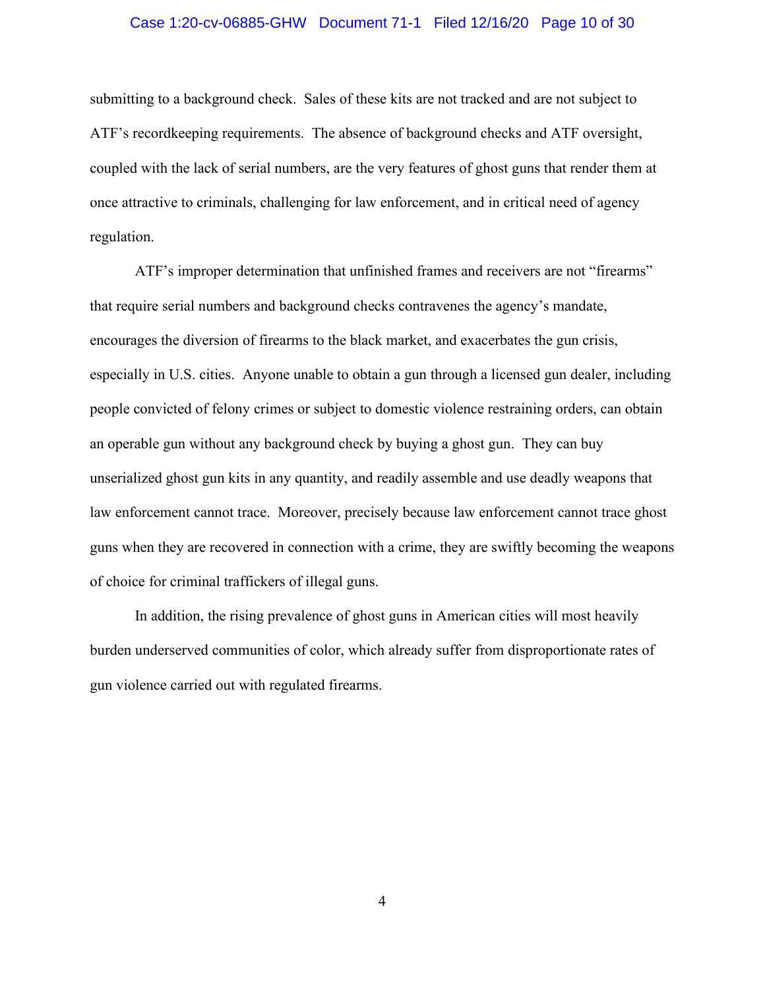#### Case 1:20-cv-06885-GHW Document 71-1 Filed 12/16/20 Page 10 of 30

submitting to a background check. Sales of these kits are not tracked and are not subject to ATF's recordkeeping requirements. The absence of background checks and ATF oversight, coupled with the lack of serial numbers, are the very features of ghost guns that render them at once attractive to criminals, challenging for law enforcement, and in critical need of agency regulation.

ATF's improper determination that unfinished frames and receivers are not "firearms" that require serial numbers and background checks contravenes the agency's mandate, encourages the diversion of firearms to the black market, and exacerbates the gun crisis, especially in U.S. cities. Anyone unable to obtain a gun through a licensed gun dealer, including people convicted of felony crimes or subject to domestic violence restraining orders, can obtain an operable gun without any background check by buying a ghost gun. They can buy unserialized ghost gun kits in any quantity, and readily assemble and use deadly weapons that law enforcement cannot trace. Moreover, precisely because law enforcement cannot trace ghost guns when they are recovered in connection with a crime, they are swiftly becoming the weapons of choice for criminal traffickers of illegal guns.

In addition, the rising prevalence of ghost guns in American cities will most heavily burden underserved communities of color, which already suffer from disproportionate rates of gun violence carried out with regulated firearms.

4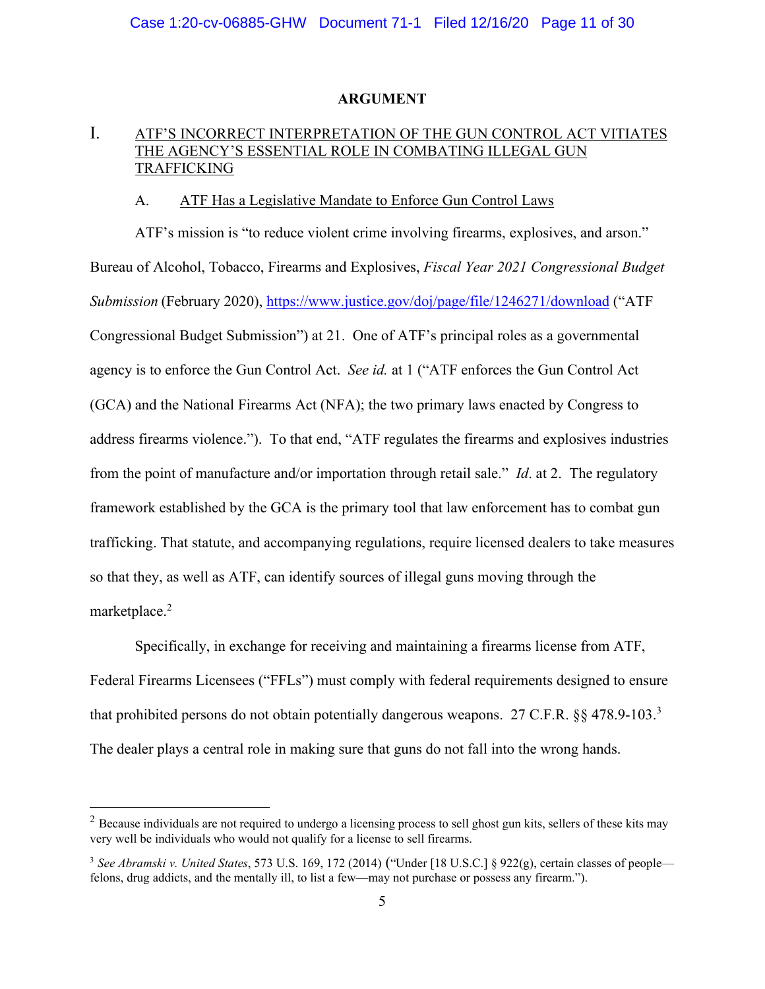#### **ARGUMENT**

# I. ATF'S INCORRECT INTERPRETATION OF THE GUN CONTROL ACT VITIATES THE AGENCY'S ESSENTIAL ROLE IN COMBATING ILLEGAL GUN TRAFFICKING

## A. ATF Has a Legislative Mandate to Enforce Gun Control Laws

ATF's mission is "to reduce violent crime involving firearms, explosives, and arson." Bureau of Alcohol, Tobacco, Firearms and Explosives, *Fiscal Year 2021 Congressional Budget Submission* (February 2020), https://www.justice.gov/doj/page/file/1246271/download ("ATF Congressional Budget Submission") at 21. One of ATF's principal roles as a governmental agency is to enforce the Gun Control Act. *See id.* at 1 ("ATF enforces the Gun Control Act (GCA) and the National Firearms Act (NFA); the two primary laws enacted by Congress to address firearms violence."). To that end, "ATF regulates the firearms and explosives industries from the point of manufacture and/or importation through retail sale." *Id*. at 2. The regulatory framework established by the GCA is the primary tool that law enforcement has to combat gun trafficking. That statute, and accompanying regulations, require licensed dealers to take measures so that they, as well as ATF, can identify sources of illegal guns moving through the marketplace.<sup>2</sup>

Specifically, in exchange for receiving and maintaining a firearms license from ATF, Federal Firearms Licensees ("FFLs") must comply with federal requirements designed to ensure that prohibited persons do not obtain potentially dangerous weapons. 27 C.F.R. §§ 478.9-103.<sup>3</sup> The dealer plays a central role in making sure that guns do not fall into the wrong hands.

 $2$  Because individuals are not required to undergo a licensing process to sell ghost gun kits, sellers of these kits may very well be individuals who would not qualify for a license to sell firearms.

<sup>3</sup> *See Abramski v. United States*, 573 U.S. 169, 172 (2014) ("Under [18 U.S.C.] § 922(g), certain classes of people felons, drug addicts, and the mentally ill, to list a few—may not purchase or possess any firearm.").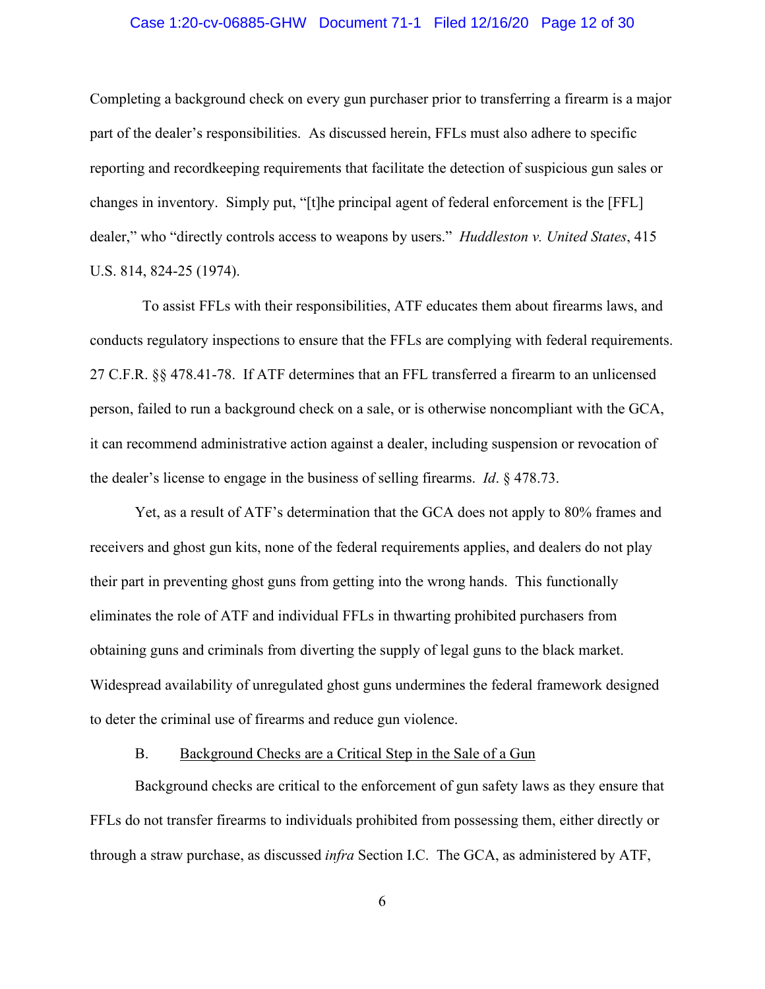#### Case 1:20-cv-06885-GHW Document 71-1 Filed 12/16/20 Page 12 of 30

Completing a background check on every gun purchaser prior to transferring a firearm is a major part of the dealer's responsibilities. As discussed herein, FFLs must also adhere to specific reporting and recordkeeping requirements that facilitate the detection of suspicious gun sales or changes in inventory. Simply put, "[t]he principal agent of federal enforcement is the [FFL] dealer," who "directly controls access to weapons by users." *Huddleston v. United States*, 415 U.S. 814, 824-25 (1974).

 To assist FFLs with their responsibilities, ATF educates them about firearms laws, and conducts regulatory inspections to ensure that the FFLs are complying with federal requirements. 27 C.F.R. §§ 478.41-78. If ATF determines that an FFL transferred a firearm to an unlicensed person, failed to run a background check on a sale, or is otherwise noncompliant with the GCA, it can recommend administrative action against a dealer, including suspension or revocation of the dealer's license to engage in the business of selling firearms. *Id*. § 478.73.

Yet, as a result of ATF's determination that the GCA does not apply to 80% frames and receivers and ghost gun kits, none of the federal requirements applies, and dealers do not play their part in preventing ghost guns from getting into the wrong hands. This functionally eliminates the role of ATF and individual FFLs in thwarting prohibited purchasers from obtaining guns and criminals from diverting the supply of legal guns to the black market. Widespread availability of unregulated ghost guns undermines the federal framework designed to deter the criminal use of firearms and reduce gun violence.

#### B. Background Checks are a Critical Step in the Sale of a Gun

Background checks are critical to the enforcement of gun safety laws as they ensure that FFLs do not transfer firearms to individuals prohibited from possessing them, either directly or through a straw purchase, as discussed *infra* Section I.C. The GCA, as administered by ATF,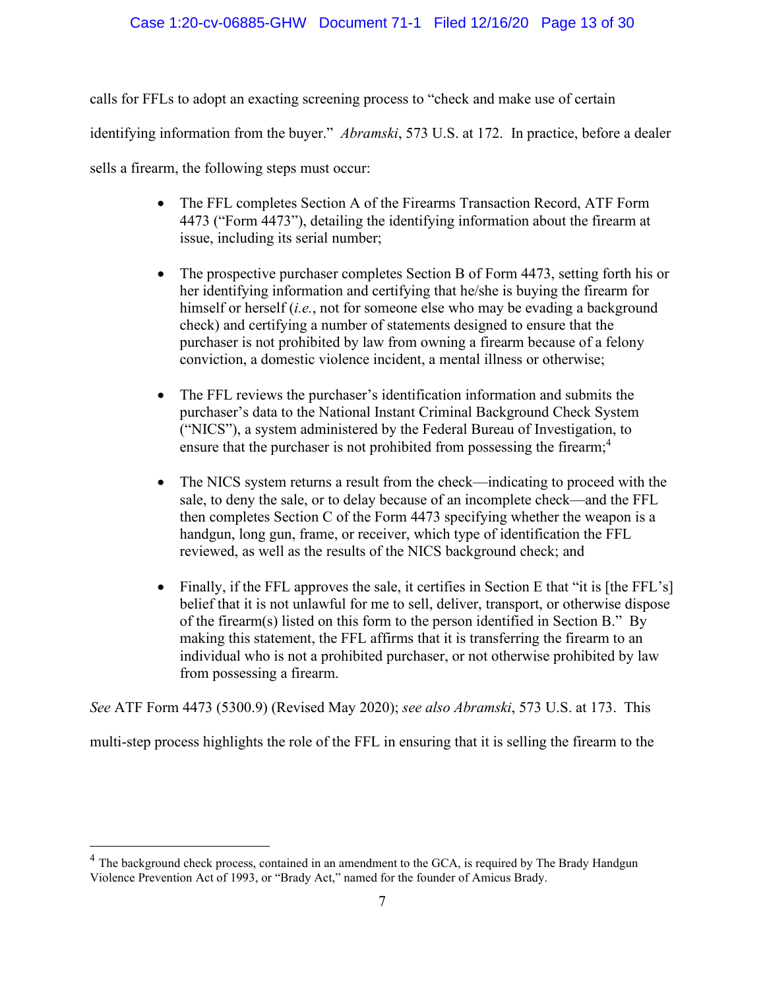# Case 1:20-cv-06885-GHW Document 71-1 Filed 12/16/20 Page 13 of 30

calls for FFLs to adopt an exacting screening process to "check and make use of certain identifying information from the buyer." *Abramski*, 573 U.S. at 172. In practice, before a dealer sells a firearm, the following steps must occur:

- The FFL completes Section A of the Firearms Transaction Record, ATF Form 4473 ("Form 4473"), detailing the identifying information about the firearm at issue, including its serial number;
- The prospective purchaser completes Section B of Form 4473, setting forth his or her identifying information and certifying that he/she is buying the firearm for himself or herself (*i.e.*, not for someone else who may be evading a background check) and certifying a number of statements designed to ensure that the purchaser is not prohibited by law from owning a firearm because of a felony conviction, a domestic violence incident, a mental illness or otherwise;
- The FFL reviews the purchaser's identification information and submits the purchaser's data to the National Instant Criminal Background Check System ("NICS"), a system administered by the Federal Bureau of Investigation, to ensure that the purchaser is not prohibited from possessing the firearm;<sup>4</sup>
- The NICS system returns a result from the check—indicating to proceed with the sale, to deny the sale, or to delay because of an incomplete check—and the FFL then completes Section C of the Form 4473 specifying whether the weapon is a handgun, long gun, frame, or receiver, which type of identification the FFL reviewed, as well as the results of the NICS background check; and
- Finally, if the FFL approves the sale, it certifies in Section E that "it is [the FFL's] belief that it is not unlawful for me to sell, deliver, transport, or otherwise dispose of the firearm(s) listed on this form to the person identified in Section B." By making this statement, the FFL affirms that it is transferring the firearm to an individual who is not a prohibited purchaser, or not otherwise prohibited by law from possessing a firearm.

*See* ATF Form 4473 (5300.9) (Revised May 2020); *see also Abramski*, 573 U.S. at 173. This

multi-step process highlights the role of the FFL in ensuring that it is selling the firearm to the

<sup>&</sup>lt;sup>4</sup> The background check process, contained in an amendment to the GCA, is required by The Brady Handgun Violence Prevention Act of 1993, or "Brady Act," named for the founder of Amicus Brady.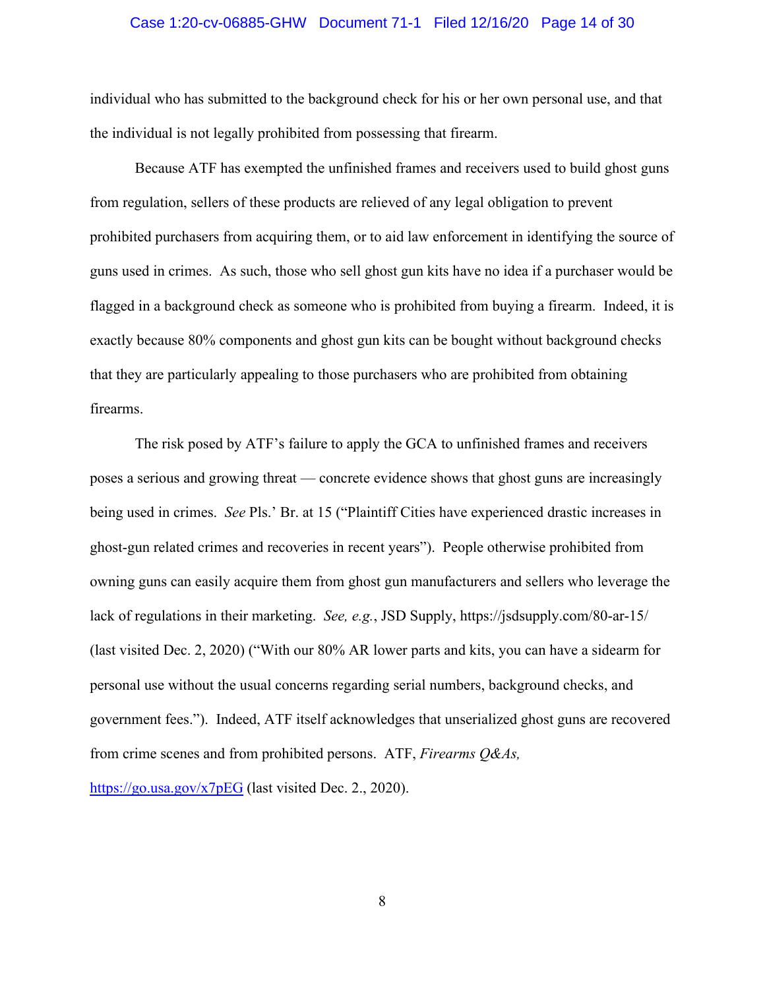#### Case 1:20-cv-06885-GHW Document 71-1 Filed 12/16/20 Page 14 of 30

individual who has submitted to the background check for his or her own personal use, and that the individual is not legally prohibited from possessing that firearm.

Because ATF has exempted the unfinished frames and receivers used to build ghost guns from regulation, sellers of these products are relieved of any legal obligation to prevent prohibited purchasers from acquiring them, or to aid law enforcement in identifying the source of guns used in crimes. As such, those who sell ghost gun kits have no idea if a purchaser would be flagged in a background check as someone who is prohibited from buying a firearm. Indeed, it is exactly because 80% components and ghost gun kits can be bought without background checks that they are particularly appealing to those purchasers who are prohibited from obtaining firearms.

The risk posed by ATF's failure to apply the GCA to unfinished frames and receivers poses a serious and growing threat — concrete evidence shows that ghost guns are increasingly being used in crimes. *See* Pls.' Br. at 15 ("Plaintiff Cities have experienced drastic increases in ghost-gun related crimes and recoveries in recent years"). People otherwise prohibited from owning guns can easily acquire them from ghost gun manufacturers and sellers who leverage the lack of regulations in their marketing. *See, e.g.*, JSD Supply, https://jsdsupply.com/80-ar-15/ (last visited Dec. 2, 2020) ("With our 80% AR lower parts and kits, you can have a sidearm for personal use without the usual concerns regarding serial numbers, background checks, and government fees."). Indeed, ATF itself acknowledges that unserialized ghost guns are recovered from crime scenes and from prohibited persons. ATF, *Firearms Q&As,* 

https://go.usa.gov/x7pEG (last visited Dec. 2., 2020).

8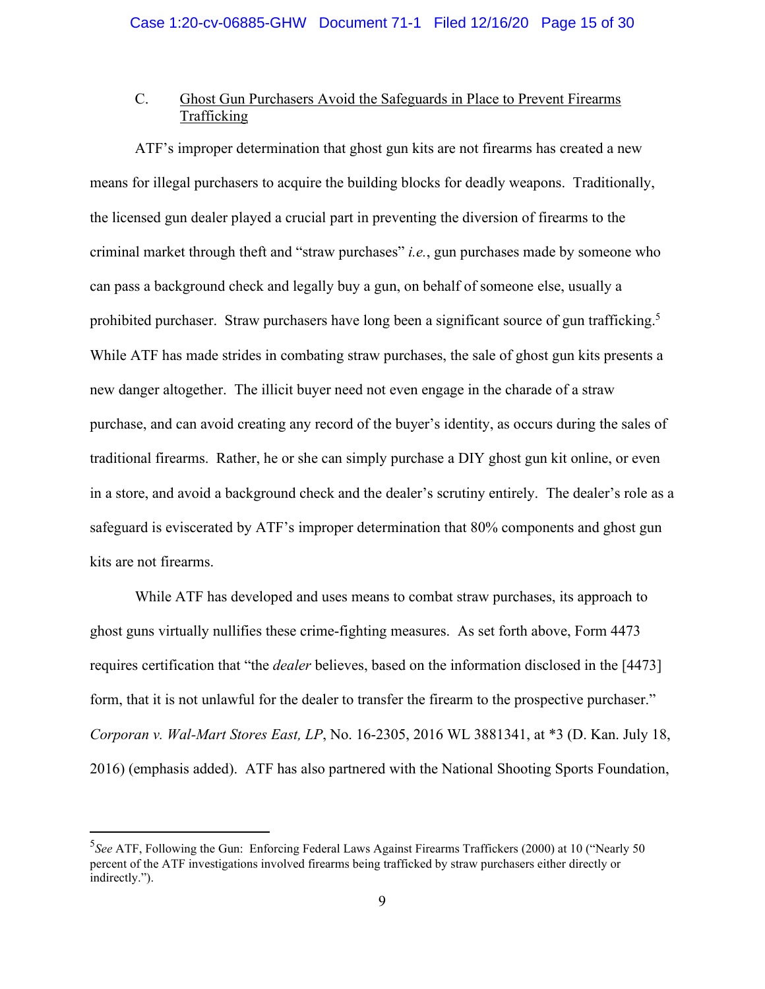# C. Ghost Gun Purchasers Avoid the Safeguards in Place to Prevent Firearms Trafficking

ATF's improper determination that ghost gun kits are not firearms has created a new means for illegal purchasers to acquire the building blocks for deadly weapons. Traditionally, the licensed gun dealer played a crucial part in preventing the diversion of firearms to the criminal market through theft and "straw purchases" *i.e.*, gun purchases made by someone who can pass a background check and legally buy a gun, on behalf of someone else, usually a prohibited purchaser. Straw purchasers have long been a significant source of gun trafficking.<sup>5</sup> While ATF has made strides in combating straw purchases, the sale of ghost gun kits presents a new danger altogether. The illicit buyer need not even engage in the charade of a straw purchase, and can avoid creating any record of the buyer's identity, as occurs during the sales of traditional firearms. Rather, he or she can simply purchase a DIY ghost gun kit online, or even in a store, and avoid a background check and the dealer's scrutiny entirely. The dealer's role as a safeguard is eviscerated by ATF's improper determination that 80% components and ghost gun kits are not firearms.

While ATF has developed and uses means to combat straw purchases, its approach to ghost guns virtually nullifies these crime-fighting measures. As set forth above, Form 4473 requires certification that "the *dealer* believes, based on the information disclosed in the [4473] form, that it is not unlawful for the dealer to transfer the firearm to the prospective purchaser." *Corporan v. Wal-Mart Stores East, LP*, No. 16-2305, 2016 WL 3881341, at \*3 (D. Kan. July 18, 2016) (emphasis added). ATF has also partnered with the National Shooting Sports Foundation,

<sup>&</sup>lt;sup>5</sup>See ATF, Following the Gun: Enforcing Federal Laws Against Firearms Traffickers (2000) at 10 ("Nearly 50 percent of the ATF investigations involved firearms being trafficked by straw purchasers either directly or indirectly.").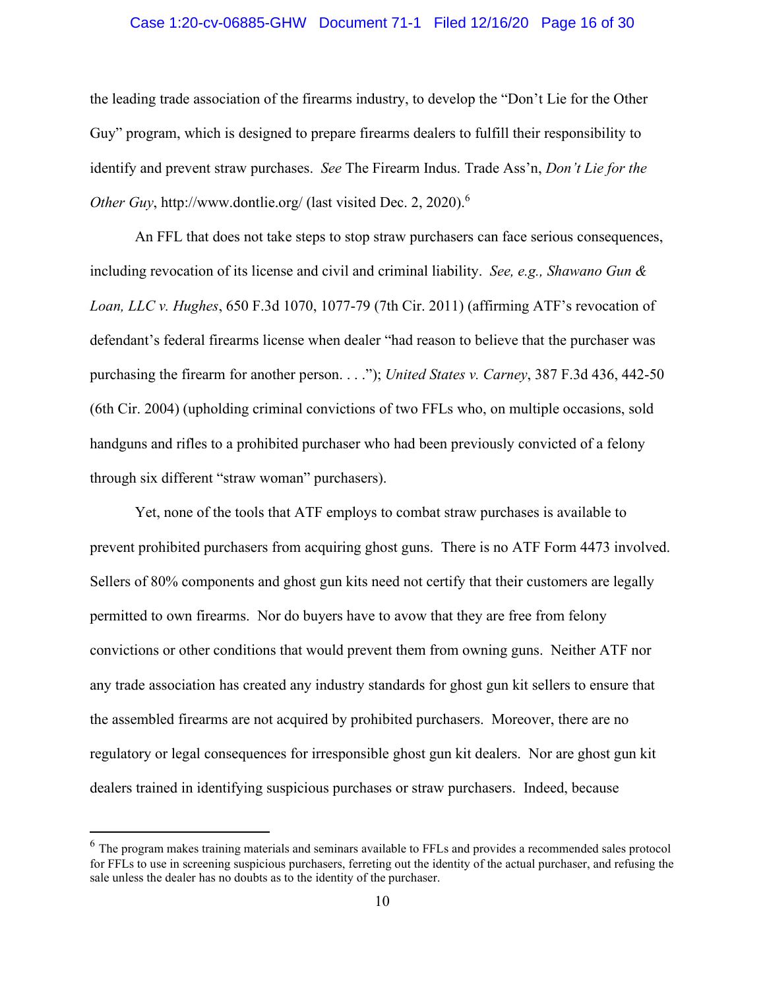#### Case 1:20-cv-06885-GHW Document 71-1 Filed 12/16/20 Page 16 of 30

the leading trade association of the firearms industry, to develop the "Don't Lie for the Other Guy" program, which is designed to prepare firearms dealers to fulfill their responsibility to identify and prevent straw purchases. *See* The Firearm Indus. Trade Ass'n, *Don't Lie for the Other Guy*, http://www.dontlie.org/ (last visited Dec. 2, 2020).<sup>6</sup>

An FFL that does not take steps to stop straw purchasers can face serious consequences, including revocation of its license and civil and criminal liability. *See, e.g., Shawano Gun & Loan, LLC v. Hughes*, 650 F.3d 1070, 1077-79 (7th Cir. 2011) (affirming ATF's revocation of defendant's federal firearms license when dealer "had reason to believe that the purchaser was purchasing the firearm for another person. . . ."); *United States v. Carney*, 387 F.3d 436, 442-50 (6th Cir. 2004) (upholding criminal convictions of two FFLs who, on multiple occasions, sold handguns and rifles to a prohibited purchaser who had been previously convicted of a felony through six different "straw woman" purchasers).

Yet, none of the tools that ATF employs to combat straw purchases is available to prevent prohibited purchasers from acquiring ghost guns. There is no ATF Form 4473 involved. Sellers of 80% components and ghost gun kits need not certify that their customers are legally permitted to own firearms. Nor do buyers have to avow that they are free from felony convictions or other conditions that would prevent them from owning guns. Neither ATF nor any trade association has created any industry standards for ghost gun kit sellers to ensure that the assembled firearms are not acquired by prohibited purchasers. Moreover, there are no regulatory or legal consequences for irresponsible ghost gun kit dealers. Nor are ghost gun kit dealers trained in identifying suspicious purchases or straw purchasers. Indeed, because

<sup>&</sup>lt;sup>6</sup> The program makes training materials and seminars available to FFLs and provides a recommended sales protocol for FFLs to use in screening suspicious purchasers, ferreting out the identity of the actual purchaser, and refusing the sale unless the dealer has no doubts as to the identity of the purchaser.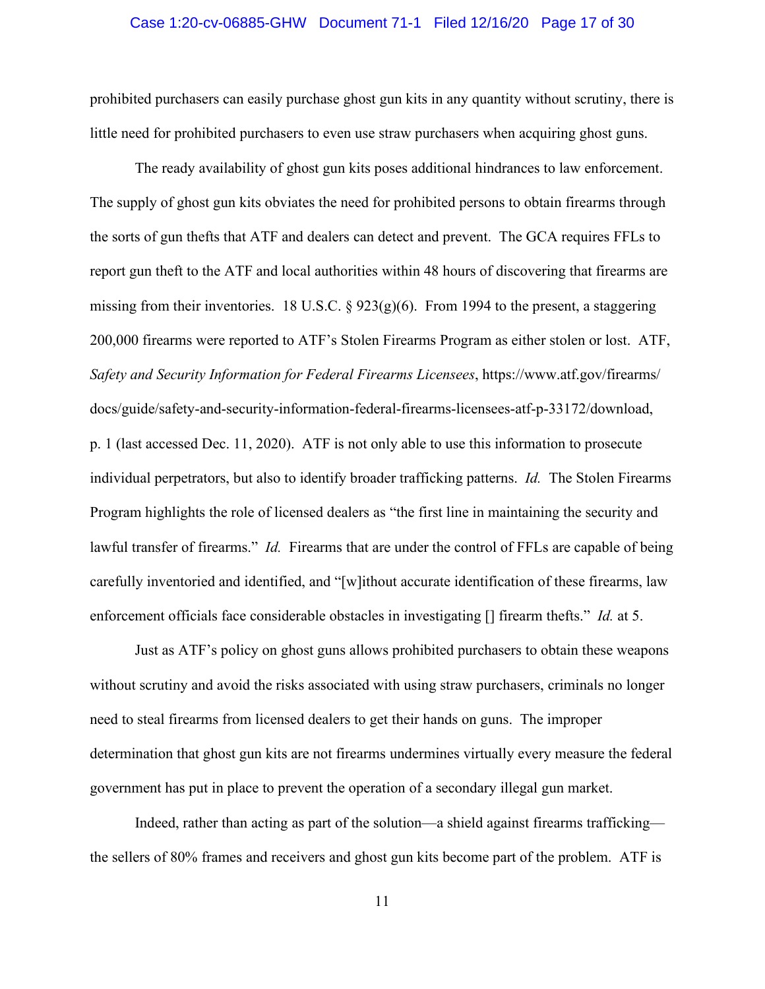#### Case 1:20-cv-06885-GHW Document 71-1 Filed 12/16/20 Page 17 of 30

prohibited purchasers can easily purchase ghost gun kits in any quantity without scrutiny, there is little need for prohibited purchasers to even use straw purchasers when acquiring ghost guns.

The ready availability of ghost gun kits poses additional hindrances to law enforcement. The supply of ghost gun kits obviates the need for prohibited persons to obtain firearms through the sorts of gun thefts that ATF and dealers can detect and prevent. The GCA requires FFLs to report gun theft to the ATF and local authorities within 48 hours of discovering that firearms are missing from their inventories. 18 U.S.C.  $\S 923(g)(6)$ . From 1994 to the present, a staggering 200,000 firearms were reported to ATF's Stolen Firearms Program as either stolen or lost. ATF, *Safety and Security Information for Federal Firearms Licensees*, https://www.atf.gov/firearms/ docs/guide/safety-and-security-information-federal-firearms-licensees-atf-p-33172/download, p. 1 (last accessed Dec. 11, 2020). ATF is not only able to use this information to prosecute individual perpetrators, but also to identify broader trafficking patterns. *Id.* The Stolen Firearms Program highlights the role of licensed dealers as "the first line in maintaining the security and lawful transfer of firearms." *Id.* Firearms that are under the control of FFLs are capable of being carefully inventoried and identified, and "[w]ithout accurate identification of these firearms, law enforcement officials face considerable obstacles in investigating [] firearm thefts." *Id.* at 5.

Just as ATF's policy on ghost guns allows prohibited purchasers to obtain these weapons without scrutiny and avoid the risks associated with using straw purchasers, criminals no longer need to steal firearms from licensed dealers to get their hands on guns. The improper determination that ghost gun kits are not firearms undermines virtually every measure the federal government has put in place to prevent the operation of a secondary illegal gun market.

Indeed, rather than acting as part of the solution—a shield against firearms trafficking the sellers of 80% frames and receivers and ghost gun kits become part of the problem. ATF is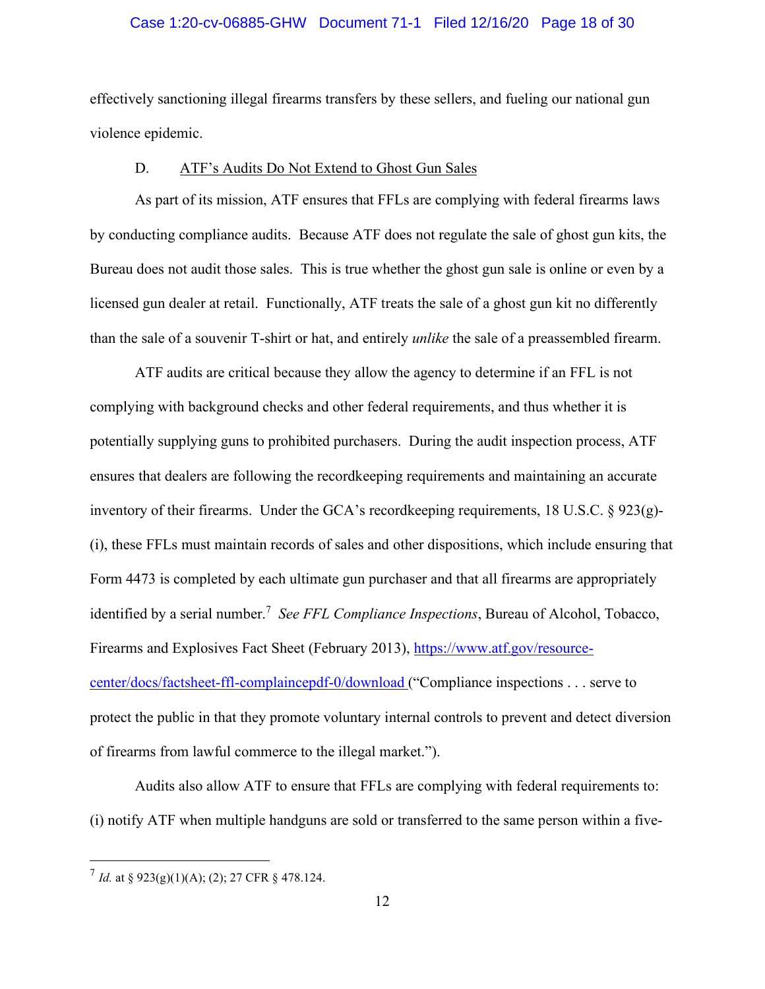#### Case 1:20-cv-06885-GHW Document 71-1 Filed 12/16/20 Page 18 of 30

effectively sanctioning illegal firearms transfers by these sellers, and fueling our national gun violence epidemic.

#### D. ATF's Audits Do Not Extend to Ghost Gun Sales

As part of its mission, ATF ensures that FFLs are complying with federal firearms laws by conducting compliance audits. Because ATF does not regulate the sale of ghost gun kits, the Bureau does not audit those sales. This is true whether the ghost gun sale is online or even by a licensed gun dealer at retail. Functionally, ATF treats the sale of a ghost gun kit no differently than the sale of a souvenir T-shirt or hat, and entirely *unlike* the sale of a preassembled firearm.

ATF audits are critical because they allow the agency to determine if an FFL is not complying with background checks and other federal requirements, and thus whether it is potentially supplying guns to prohibited purchasers. During the audit inspection process, ATF ensures that dealers are following the recordkeeping requirements and maintaining an accurate inventory of their firearms. Under the GCA's recordkeeping requirements, 18 U.S.C. § 923(g)- (i), these FFLs must maintain records of sales and other dispositions, which include ensuring that Form 4473 is completed by each ultimate gun purchaser and that all firearms are appropriately identified by a serial number.<sup>7</sup> See FFL Compliance Inspections, Bureau of Alcohol, Tobacco, Firearms and Explosives Fact Sheet (February 2013), https://www.atf.gov/resourcecenter/docs/factsheet-ffl-complaincepdf-0/download ("Compliance inspections . . . serve to protect the public in that they promote voluntary internal controls to prevent and detect diversion of firearms from lawful commerce to the illegal market.").

Audits also allow ATF to ensure that FFLs are complying with federal requirements to: (i) notify ATF when multiple handguns are sold or transferred to the same person within a five-

 $^{7}$  *Id.* at § 923(g)(1)(A); (2); 27 CFR § 478.124.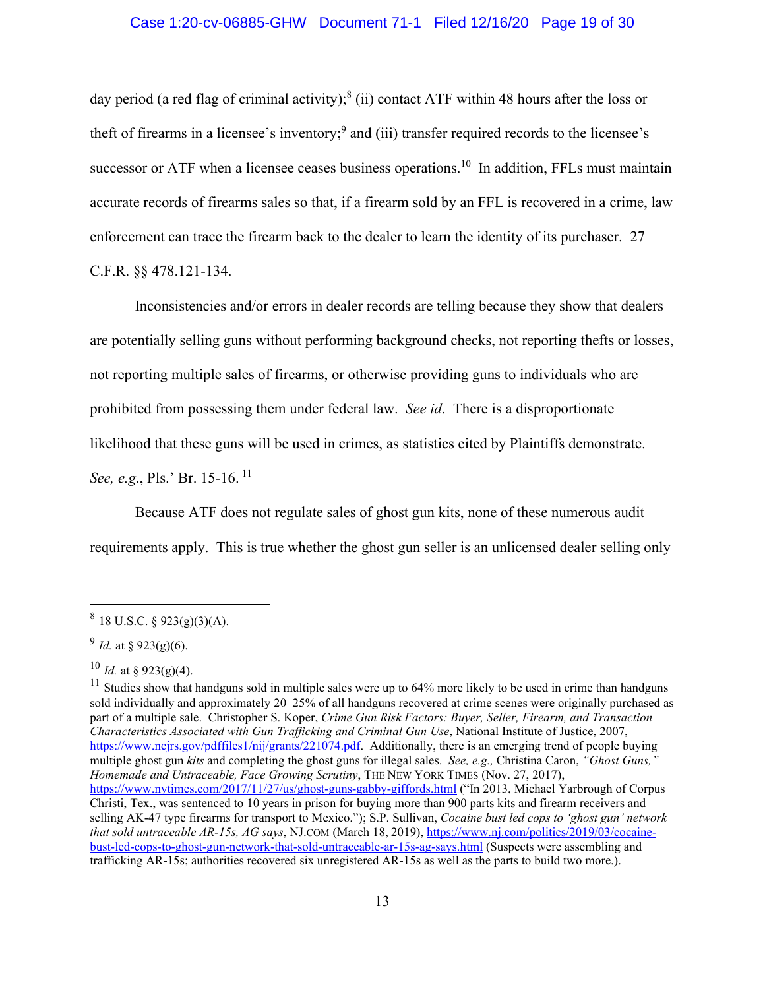day period (a red flag of criminal activity);<sup>8</sup> (ii) contact ATF within 48 hours after the loss or theft of firearms in a licensee's inventory;<sup>9</sup> and (iii) transfer required records to the licensee's successor or ATF when a licensee ceases business operations.<sup>10</sup> In addition, FFLs must maintain accurate records of firearms sales so that, if a firearm sold by an FFL is recovered in a crime, law enforcement can trace the firearm back to the dealer to learn the identity of its purchaser. 27

C.F.R. §§ 478.121-134.

Inconsistencies and/or errors in dealer records are telling because they show that dealers are potentially selling guns without performing background checks, not reporting thefts or losses, not reporting multiple sales of firearms, or otherwise providing guns to individuals who are prohibited from possessing them under federal law. *See id*. There is a disproportionate likelihood that these guns will be used in crimes, as statistics cited by Plaintiffs demonstrate. *See, e.g., Pls.' Br. 15-16.*<sup>11</sup>

Because ATF does not regulate sales of ghost gun kits, none of these numerous audit

requirements apply. This is true whether the ghost gun seller is an unlicensed dealer selling only

 $8$  18 U.S.C. § 923(g)(3)(A).

 $^{9}$  *Id.* at § 923(g)(6).

 $^{10}$  *Id.* at § 923(g)(4).

 $11$  Studies show that handguns sold in multiple sales were up to 64% more likely to be used in crime than handguns sold individually and approximately 20–25% of all handguns recovered at crime scenes were originally purchased as part of a multiple sale. Christopher S. Koper, *Crime Gun Risk Factors: Buyer, Seller, Firearm, and Transaction Characteristics Associated with Gun Trafficking and Criminal Gun Use*, National Institute of Justice, 2007, https://www.ncjrs.gov/pdffiles1/nij/grants/221074.pdf. Additionally, there is an emerging trend of people buying multiple ghost gun *kits* and completing the ghost guns for illegal sales. *See, e.g.,* Christina Caron, *"Ghost Guns," Homemade and Untraceable, Face Growing Scrutiny*, THE NEW YORK TIMES (Nov. 27, 2017), https://www.nytimes.com/2017/11/27/us/ghost-guns-gabby-giffords.html ("In 2013, Michael Yarbrough of Corpus Christi, Tex., was sentenced to 10 years in prison for buying more than 900 parts kits and firearm receivers and selling AK-47 type firearms for transport to Mexico."); S.P. Sullivan, *Cocaine bust led cops to 'ghost gun' network that sold untraceable AR-15s, AG says*, NJ.COM (March 18, 2019), https://www.nj.com/politics/2019/03/cocainebust-led-cops-to-ghost-gun-network-that-sold-untraceable-ar-15s-ag-says.html (Suspects were assembling and trafficking AR-15s; authorities recovered six unregistered AR-15s as well as the parts to build two more.).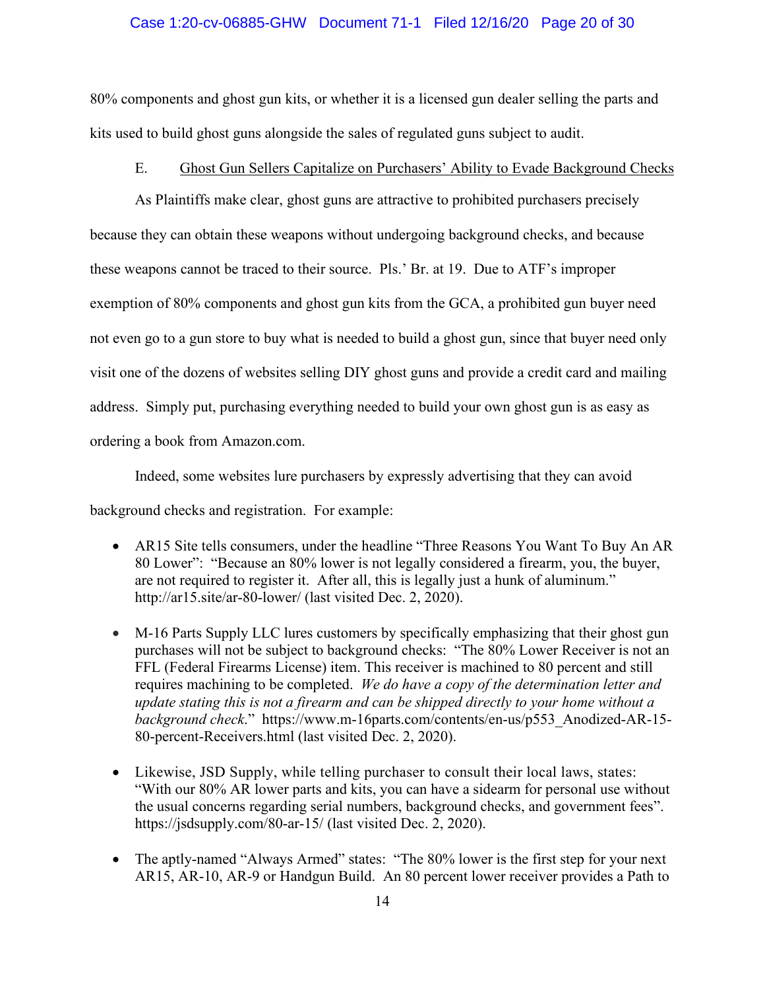#### Case 1:20-cv-06885-GHW Document 71-1 Filed 12/16/20 Page 20 of 30

80% components and ghost gun kits, or whether it is a licensed gun dealer selling the parts and kits used to build ghost guns alongside the sales of regulated guns subject to audit.

## E. Ghost Gun Sellers Capitalize on Purchasers' Ability to Evade Background Checks

As Plaintiffs make clear, ghost guns are attractive to prohibited purchasers precisely because they can obtain these weapons without undergoing background checks, and because these weapons cannot be traced to their source. Pls.' Br. at 19. Due to ATF's improper exemption of 80% components and ghost gun kits from the GCA, a prohibited gun buyer need not even go to a gun store to buy what is needed to build a ghost gun, since that buyer need only visit one of the dozens of websites selling DIY ghost guns and provide a credit card and mailing address. Simply put, purchasing everything needed to build your own ghost gun is as easy as ordering a book from Amazon.com.

Indeed, some websites lure purchasers by expressly advertising that they can avoid

background checks and registration. For example:

- AR15 Site tells consumers, under the headline "Three Reasons You Want To Buy An AR 80 Lower": "Because an 80% lower is not legally considered a firearm, you, the buyer, are not required to register it. After all, this is legally just a hunk of aluminum." http://ar15.site/ar-80-lower/ (last visited Dec. 2, 2020).
- M-16 Parts Supply LLC lures customers by specifically emphasizing that their ghost gun purchases will not be subject to background checks: "The 80% Lower Receiver is not an FFL (Federal Firearms License) item. This receiver is machined to 80 percent and still requires machining to be completed. *We do have a copy of the determination letter and update stating this is not a firearm and can be shipped directly to your home without a background check*." https://www.m-16parts.com/contents/en-us/p553\_Anodized-AR-15- 80-percent-Receivers.html (last visited Dec. 2, 2020).
- Likewise, JSD Supply, while telling purchaser to consult their local laws, states: "With our 80% AR lower parts and kits, you can have a sidearm for personal use without the usual concerns regarding serial numbers, background checks, and government fees". https://jsdsupply.com/80-ar-15/ (last visited Dec. 2, 2020).
- The aptly-named "Always Armed" states: "The 80% lower is the first step for your next AR15, AR-10, AR-9 or Handgun Build. An 80 percent lower receiver provides a Path to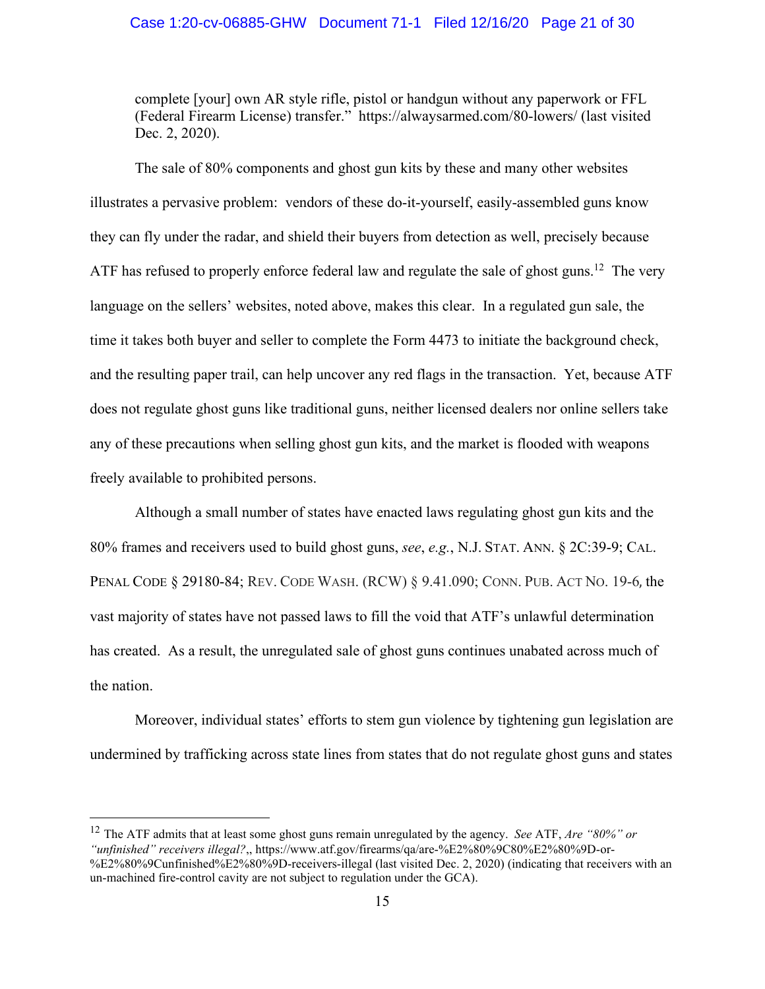#### Case 1:20-cv-06885-GHW Document 71-1 Filed 12/16/20 Page 21 of 30

complete [your] own AR style rifle, pistol or handgun without any paperwork or FFL (Federal Firearm License) transfer." https://alwaysarmed.com/80-lowers/ (last visited Dec. 2, 2020).

The sale of 80% components and ghost gun kits by these and many other websites illustrates a pervasive problem: vendors of these do-it-yourself, easily-assembled guns know they can fly under the radar, and shield their buyers from detection as well, precisely because ATF has refused to properly enforce federal law and regulate the sale of ghost guns.<sup>12</sup> The very language on the sellers' websites, noted above, makes this clear. In a regulated gun sale, the time it takes both buyer and seller to complete the Form 4473 to initiate the background check, and the resulting paper trail, can help uncover any red flags in the transaction. Yet, because ATF does not regulate ghost guns like traditional guns, neither licensed dealers nor online sellers take any of these precautions when selling ghost gun kits, and the market is flooded with weapons freely available to prohibited persons.

Although a small number of states have enacted laws regulating ghost gun kits and the 80% frames and receivers used to build ghost guns, *see*, *e.g.*, N.J. STAT. ANN. § 2C:39-9; CAL. PENAL CODE § 29180-84; REV. CODE WASH. (RCW) § 9.41.090; CONN. PUB. ACT NO. 19-6, the vast majority of states have not passed laws to fill the void that ATF's unlawful determination has created. As a result, the unregulated sale of ghost guns continues unabated across much of the nation.

Moreover, individual states' efforts to stem gun violence by tightening gun legislation are undermined by trafficking across state lines from states that do not regulate ghost guns and states

<sup>12</sup> The ATF admits that at least some ghost guns remain unregulated by the agency. *See* ATF, *Are "80%" or "unfinished" receivers illegal?*,, https://www.atf.gov/firearms/qa/are-%E2%80%9C80%E2%80%9D-or- %E2%80%9Cunfinished%E2%80%9D-receivers-illegal (last visited Dec. 2, 2020) (indicating that receivers with an un-machined fire-control cavity are not subject to regulation under the GCA).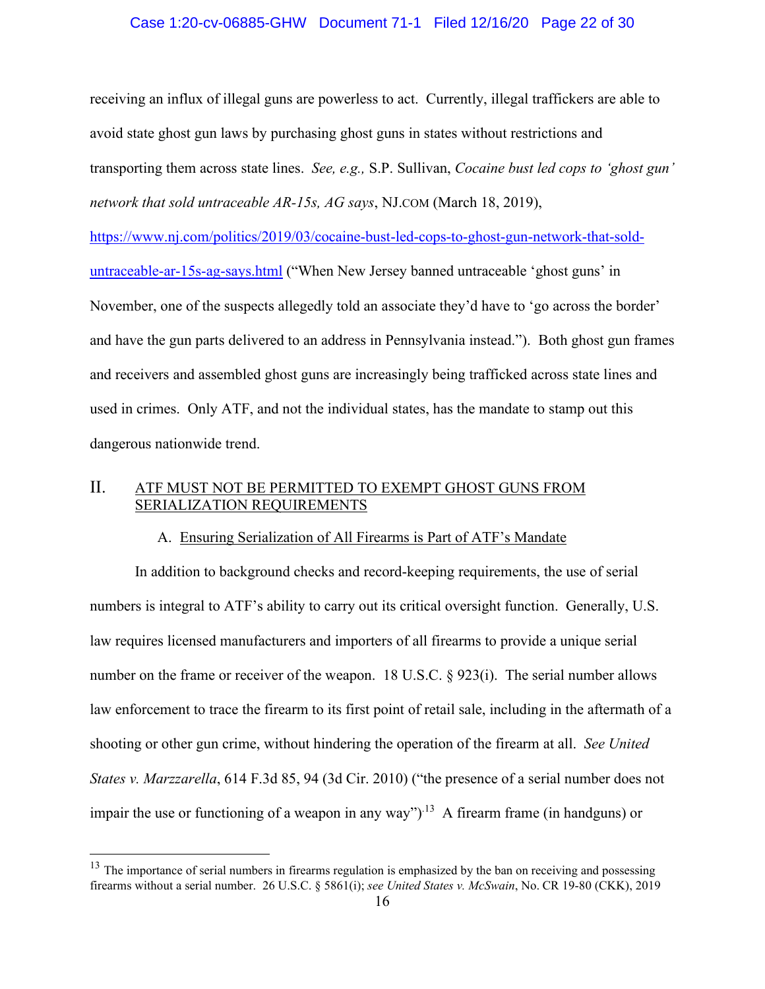### Case 1:20-cv-06885-GHW Document 71-1 Filed 12/16/20 Page 22 of 30

receiving an influx of illegal guns are powerless to act. Currently, illegal traffickers are able to avoid state ghost gun laws by purchasing ghost guns in states without restrictions and transporting them across state lines. *See, e.g.,* S.P. Sullivan, *Cocaine bust led cops to 'ghost gun' network that sold untraceable AR-15s, AG says*, NJ.COM (March 18, 2019),

https://www.nj.com/politics/2019/03/cocaine-bust-led-cops-to-ghost-gun-network-that-solduntraceable-ar-15s-ag-says.html ("When New Jersey banned untraceable 'ghost guns' in November, one of the suspects allegedly told an associate they'd have to 'go across the border' and have the gun parts delivered to an address in Pennsylvania instead."). Both ghost gun frames and receivers and assembled ghost guns are increasingly being trafficked across state lines and used in crimes. Only ATF, and not the individual states, has the mandate to stamp out this dangerous nationwide trend.

# II. ATF MUST NOT BE PERMITTED TO EXEMPT GHOST GUNS FROM SERIALIZATION REQUIREMENTS

## A. Ensuring Serialization of All Firearms is Part of ATF's Mandate

In addition to background checks and record-keeping requirements, the use of serial numbers is integral to ATF's ability to carry out its critical oversight function. Generally, U.S. law requires licensed manufacturers and importers of all firearms to provide a unique serial number on the frame or receiver of the weapon. 18 U.S.C. § 923(i). The serial number allows law enforcement to trace the firearm to its first point of retail sale, including in the aftermath of a shooting or other gun crime, without hindering the operation of the firearm at all. *See United States v. Marzzarella*, 614 F.3d 85, 94 (3d Cir. 2010) ("the presence of a serial number does not impair the use or functioning of a weapon in any way")<sup> $13$ </sup> A firearm frame (in handguns) or

 $13$  The importance of serial numbers in firearms regulation is emphasized by the ban on receiving and possessing firearms without a serial number. 26 U.S.C. § 5861(i); *see United States v. McSwain*, No. CR 19-80 (CKK), 2019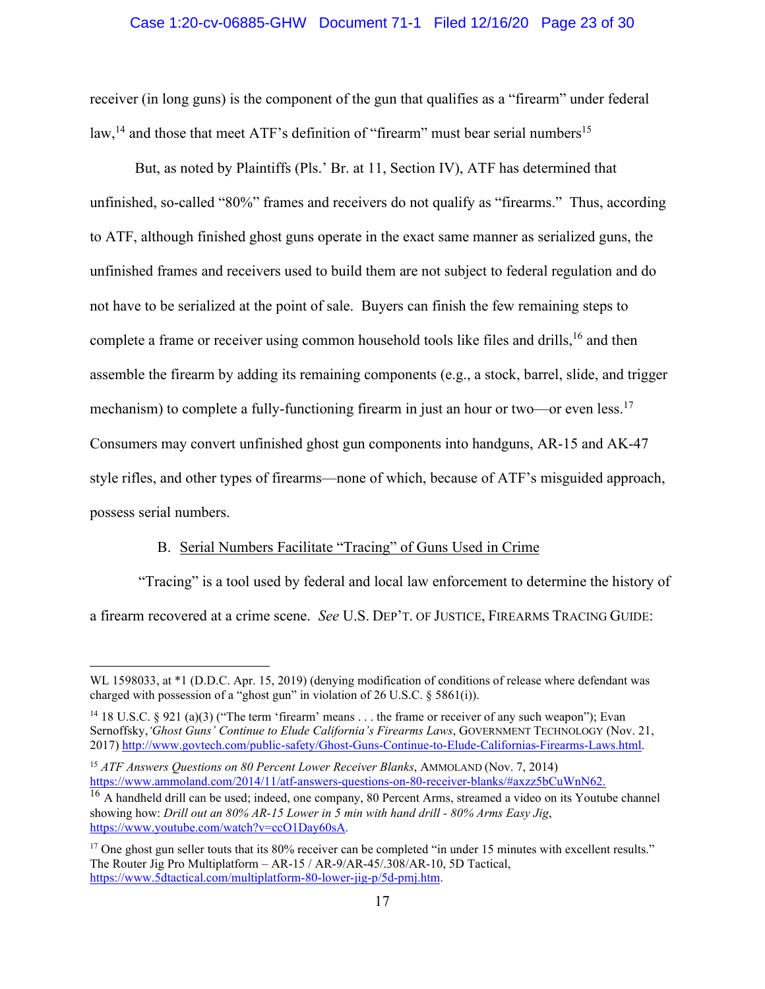#### Case 1:20-cv-06885-GHW Document 71-1 Filed 12/16/20 Page 23 of 30

receiver (in long guns) is the component of the gun that qualifies as a "firearm" under federal law,<sup>14</sup> and those that meet ATF's definition of "firearm" must bear serial numbers<sup>15</sup>

But, as noted by Plaintiffs (Pls.' Br. at 11, Section IV), ATF has determined that unfinished, so-called "80%" frames and receivers do not qualify as "firearms." Thus, according to ATF, although finished ghost guns operate in the exact same manner as serialized guns, the unfinished frames and receivers used to build them are not subject to federal regulation and do not have to be serialized at the point of sale. Buyers can finish the few remaining steps to complete a frame or receiver using common household tools like files and drills,<sup>16</sup> and then assemble the firearm by adding its remaining components (e.g., a stock, barrel, slide, and trigger mechanism) to complete a fully-functioning firearm in just an hour or two—or even less.<sup>17</sup> Consumers may convert unfinished ghost gun components into handguns, AR-15 and AK-47 style rifles, and other types of firearms—none of which, because of ATF's misguided approach, possess serial numbers.

# B. Serial Numbers Facilitate "Tracing" of Guns Used in Crime

 "Tracing" is a tool used by federal and local law enforcement to determine the history of a firearm recovered at a crime scene. *See* U.S. DEP'T. OF JUSTICE, FIREARMS TRACING GUIDE:

WL 1598033, at \*1 (D.D.C. Apr. 15, 2019) (denying modification of conditions of release where defendant was charged with possession of a "ghost gun" in violation of 26 U.S.C. § 5861(i)).

<sup>&</sup>lt;sup>14</sup> 18 U.S.C. § 921 (a)(3) ("The term 'firearm' means . . . the frame or receiver of any such weapon"); Evan Sernoffsky,*'Ghost Guns' Continue to Elude California's Firearms Laws*, GOVERNMENT TECHNOLOGY (Nov. 21, 2017) http://www.govtech.com/public-safety/Ghost-Guns-Continue-to-Elude-Californias-Firearms-Laws.html.

<sup>15</sup> *ATF Answers Questions on 80 Percent Lower Receiver Blanks*, AMMOLAND (Nov. 7, 2014) https://www.ammoland.com/2014/11/atf-answers-questions-on-80-receiver-blanks/#axzz5bCuWnN62.

<sup>&</sup>lt;sup>16</sup> A handheld drill can be used; indeed, one company, 80 Percent Arms, streamed a video on its Youtube channel showing how: *Drill out an 80% AR-15 Lower in 5 min with hand drill - 80% Arms Easy Jig*, https://www.youtube.com/watch?v=ccO1Day60sA.

<sup>&</sup>lt;sup>17</sup> One ghost gun seller touts that its 80% receiver can be completed "in under 15 minutes with excellent results." The Router Jig Pro Multiplatform – AR-15 / AR-9/AR-45/.308/AR-10, 5D Tactical, https://www.5dtactical.com/multiplatform-80-lower-jig-p/5d-pmj.htm.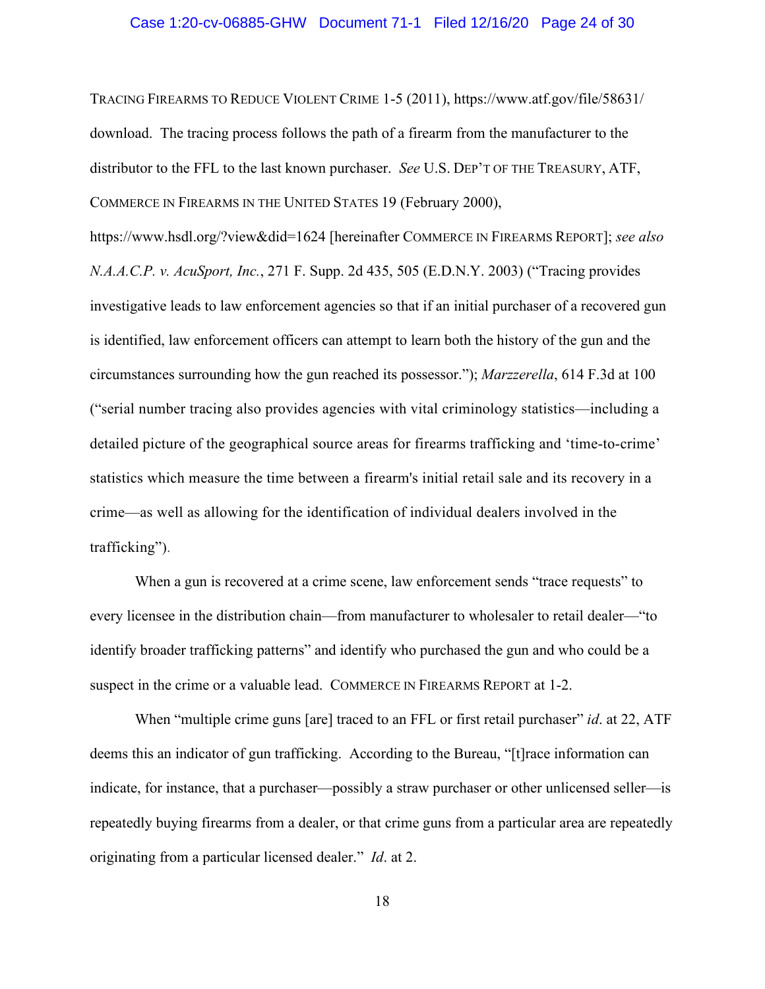#### Case 1:20-cv-06885-GHW Document 71-1 Filed 12/16/20 Page 24 of 30

TRACING FIREARMS TO REDUCE VIOLENT CRIME 1-5 (2011), https://www.atf.gov/file/58631/ download. The tracing process follows the path of a firearm from the manufacturer to the distributor to the FFL to the last known purchaser. *See* U.S. DEP'T OF THE TREASURY, ATF, COMMERCE IN FIREARMS IN THE UNITED STATES 19 (February 2000),

https://www.hsdl.org/?view&did=1624 [hereinafter COMMERCE IN FIREARMS REPORT]; *see also N.A.A.C.P. v. AcuSport, Inc.*, 271 F. Supp. 2d 435, 505 (E.D.N.Y. 2003) ("Tracing provides investigative leads to law enforcement agencies so that if an initial purchaser of a recovered gun is identified, law enforcement officers can attempt to learn both the history of the gun and the circumstances surrounding how the gun reached its possessor."); *Marzzerella*, 614 F.3d at 100 ("serial number tracing also provides agencies with vital criminology statistics—including a detailed picture of the geographical source areas for firearms trafficking and 'time-to-crime' statistics which measure the time between a firearm's initial retail sale and its recovery in a crime—as well as allowing for the identification of individual dealers involved in the trafficking").

When a gun is recovered at a crime scene, law enforcement sends "trace requests" to every licensee in the distribution chain—from manufacturer to wholesaler to retail dealer—"to identify broader trafficking patterns" and identify who purchased the gun and who could be a suspect in the crime or a valuable lead. COMMERCE IN FIREARMS REPORT at 1-2.

When "multiple crime guns [are] traced to an FFL or first retail purchaser" *id.* at 22, ATF deems this an indicator of gun trafficking. According to the Bureau, "[t]race information can indicate, for instance, that a purchaser—possibly a straw purchaser or other unlicensed seller—is repeatedly buying firearms from a dealer, or that crime guns from a particular area are repeatedly originating from a particular licensed dealer." *Id*. at 2.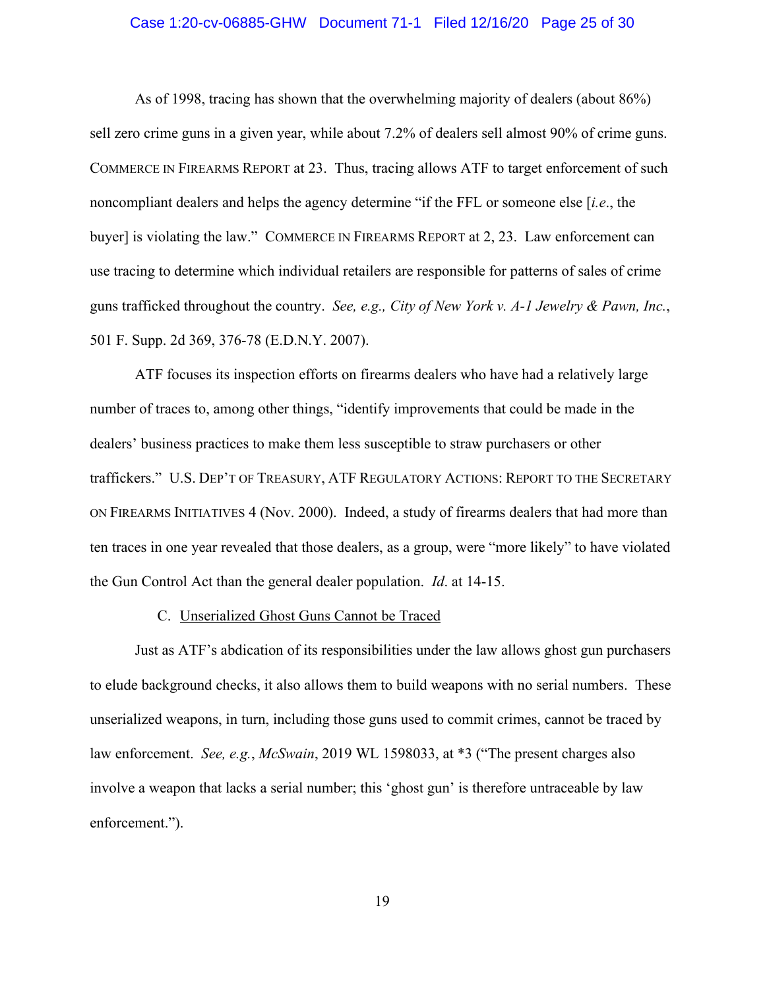#### Case 1:20-cv-06885-GHW Document 71-1 Filed 12/16/20 Page 25 of 30

As of 1998, tracing has shown that the overwhelming majority of dealers (about 86%) sell zero crime guns in a given year, while about 7.2% of dealers sell almost 90% of crime guns. COMMERCE IN FIREARMS REPORT at 23. Thus, tracing allows ATF to target enforcement of such noncompliant dealers and helps the agency determine "if the FFL or someone else [*i.e*., the buyer] is violating the law." COMMERCE IN FIREARMS REPORT at 2, 23. Law enforcement can use tracing to determine which individual retailers are responsible for patterns of sales of crime guns trafficked throughout the country. *See, e.g., City of New York v. A-1 Jewelry & Pawn, Inc.*, 501 F. Supp. 2d 369, 376-78 (E.D.N.Y. 2007).

ATF focuses its inspection efforts on firearms dealers who have had a relatively large number of traces to, among other things, "identify improvements that could be made in the dealers' business practices to make them less susceptible to straw purchasers or other traffickers." U.S. DEP'T OF TREASURY, ATF REGULATORY ACTIONS: REPORT TO THE SECRETARY ON FIREARMS INITIATIVES 4 (Nov. 2000). Indeed, a study of firearms dealers that had more than ten traces in one year revealed that those dealers, as a group, were "more likely" to have violated the Gun Control Act than the general dealer population. *Id*. at 14-15.

#### C. Unserialized Ghost Guns Cannot be Traced

Just as ATF's abdication of its responsibilities under the law allows ghost gun purchasers to elude background checks, it also allows them to build weapons with no serial numbers. These unserialized weapons, in turn, including those guns used to commit crimes, cannot be traced by law enforcement. *See, e.g.*, *McSwain*, 2019 WL 1598033, at \*3 ("The present charges also involve a weapon that lacks a serial number; this 'ghost gun' is therefore untraceable by law enforcement.").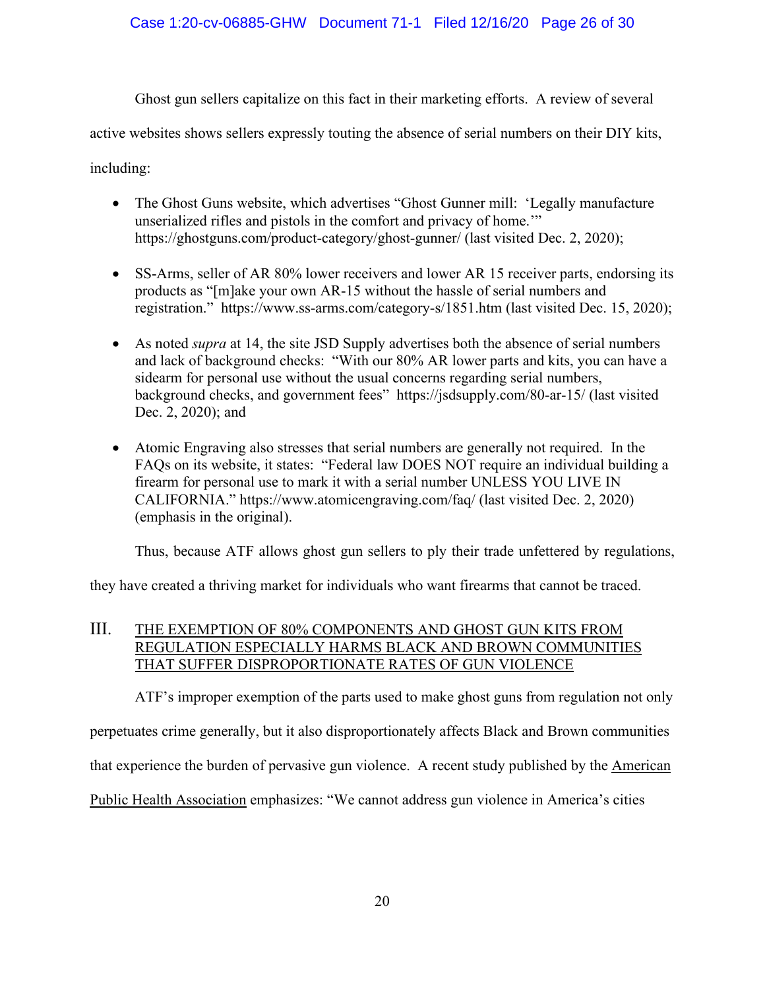Ghost gun sellers capitalize on this fact in their marketing efforts. A review of several

active websites shows sellers expressly touting the absence of serial numbers on their DIY kits,

including:

- The Ghost Guns website, which advertises "Ghost Gunner mill: 'Legally manufacture unserialized rifles and pistols in the comfort and privacy of home.'" https://ghostguns.com/product-category/ghost-gunner/ (last visited Dec. 2, 2020);
- SS-Arms, seller of AR 80% lower receivers and lower AR 15 receiver parts, endorsing its products as "[m]ake your own AR-15 without the hassle of serial numbers and registration." https://www.ss-arms.com/category-s/1851.htm (last visited Dec. 15, 2020);
- As noted *supra* at 14, the site JSD Supply advertises both the absence of serial numbers and lack of background checks: "With our 80% AR lower parts and kits, you can have a sidearm for personal use without the usual concerns regarding serial numbers, background checks, and government fees" https://jsdsupply.com/80-ar-15/ (last visited Dec. 2, 2020); and
- Atomic Engraving also stresses that serial numbers are generally not required. In the FAQs on its website, it states: "Federal law DOES NOT require an individual building a firearm for personal use to mark it with a serial number UNLESS YOU LIVE IN CALIFORNIA." https://www.atomicengraving.com/faq/ (last visited Dec. 2, 2020) (emphasis in the original).

Thus, because ATF allows ghost gun sellers to ply their trade unfettered by regulations,

they have created a thriving market for individuals who want firearms that cannot be traced.

# III. THE EXEMPTION OF 80% COMPONENTS AND GHOST GUN KITS FROM REGULATION ESPECIALLY HARMS BLACK AND BROWN COMMUNITIES THAT SUFFER DISPROPORTIONATE RATES OF GUN VIOLENCE

ATF's improper exemption of the parts used to make ghost guns from regulation not only

perpetuates crime generally, but it also disproportionately affects Black and Brown communities

that experience the burden of pervasive gun violence. A recent study published by the American

Public Health Association emphasizes: "We cannot address gun violence in America's cities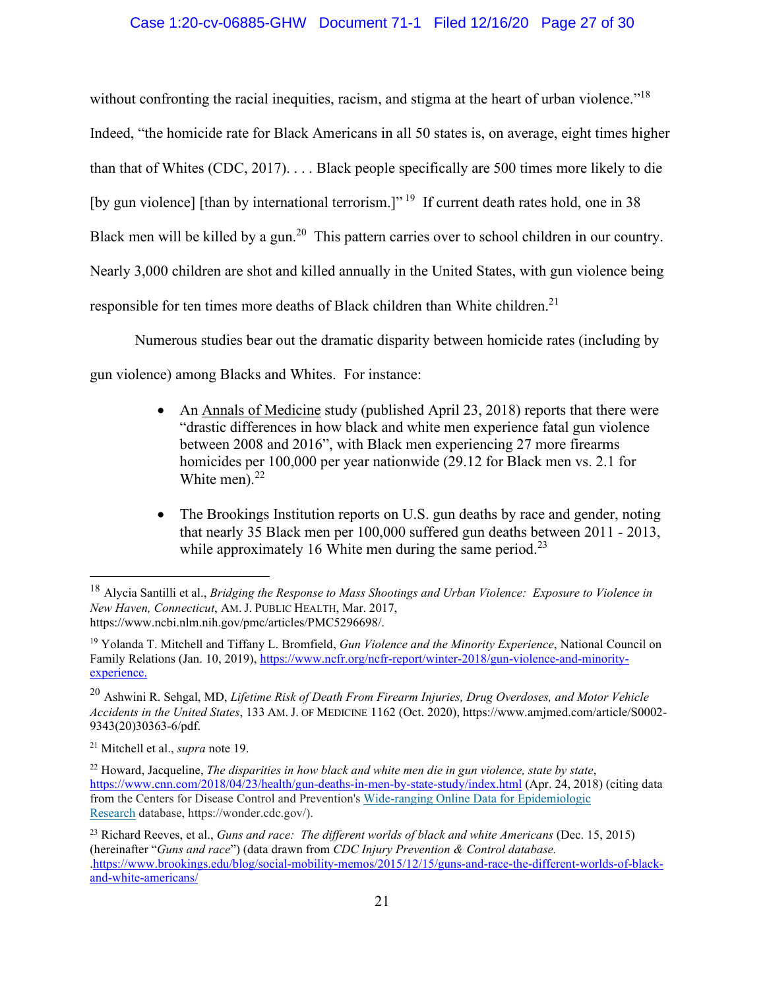# Case 1:20-cv-06885-GHW Document 71-1 Filed 12/16/20 Page 27 of 30

without confronting the racial inequities, racism, and stigma at the heart of urban violence."<sup>18</sup> Indeed, "the homicide rate for Black Americans in all 50 states is, on average, eight times higher than that of Whites (CDC, 2017). . . . Black people specifically are 500 times more likely to die [by gun violence] [than by international terrorism.]"<sup>19</sup> If current death rates hold, one in 38 Black men will be killed by a gun.<sup>20</sup> This pattern carries over to school children in our country. Nearly 3,000 children are shot and killed annually in the United States, with gun violence being responsible for ten times more deaths of Black children than White children.<sup>21</sup>

Numerous studies bear out the dramatic disparity between homicide rates (including by gun violence) among Blacks and Whites. For instance:

- An Annals of Medicine study (published April 23, 2018) reports that there were "drastic differences in how black and white men experience fatal gun violence between 2008 and 2016", with Black men experiencing 27 more firearms homicides per 100,000 per year nationwide (29.12 for Black men vs. 2.1 for White men). $^{22}$
- The Brookings Institution reports on U.S. gun deaths by race and gender, noting that nearly 35 Black men per 100,000 suffered gun deaths between 2011 - 2013, while approximately 16 White men during the same period.<sup>23</sup>

<sup>18</sup> Alycia Santilli et al., *Bridging the Response to Mass Shootings and Urban Violence: Exposure to Violence in New Haven, Connecticut*, AM. J. PUBLIC HEALTH, Mar. 2017, https://www.ncbi.nlm.nih.gov/pmc/articles/PMC5296698/.

<sup>19</sup> Yolanda T. Mitchell and Tiffany L. Bromfield, *Gun Violence and the Minority Experience*, National Council on Family Relations (Jan. 10, 2019), https://www.ncfr.org/ncfr-report/winter-2018/gun-violence-and-minorityexperience.

<sup>20</sup> Ashwini R. Sehgal, MD, *Lifetime Risk of Death From Firearm Injuries, Drug Overdoses, and Motor Vehicle Accidents in the United States*, 133 AM. J. OF MEDICINE 1162 (Oct. 2020), https://www.amjmed.com/article/S0002- 9343(20)30363-6/pdf.

<sup>21</sup> Mitchell et al., *supra* note 19.

<sup>22</sup> Howard, Jacqueline, *The disparities in how black and white men die in gun violence, state by state*, https://www.cnn.com/2018/04/23/health/gun-deaths-in-men-by-state-study/index.html (Apr. 24, 2018) (citing data from the Centers for Disease Control and Prevention's Wide-ranging Online Data for Epidemiologic Research database, https://wonder.cdc.gov/).

<sup>23</sup> Richard Reeves, et al., *Guns and race: The different worlds of black and white Americans* (Dec. 15, 2015) (hereinafter "*Guns and race*") (data drawn from *CDC Injury Prevention & Control database.*  .https://www.brookings.edu/blog/social-mobility-memos/2015/12/15/guns-and-race-the-different-worlds-of-blackand-white-americans/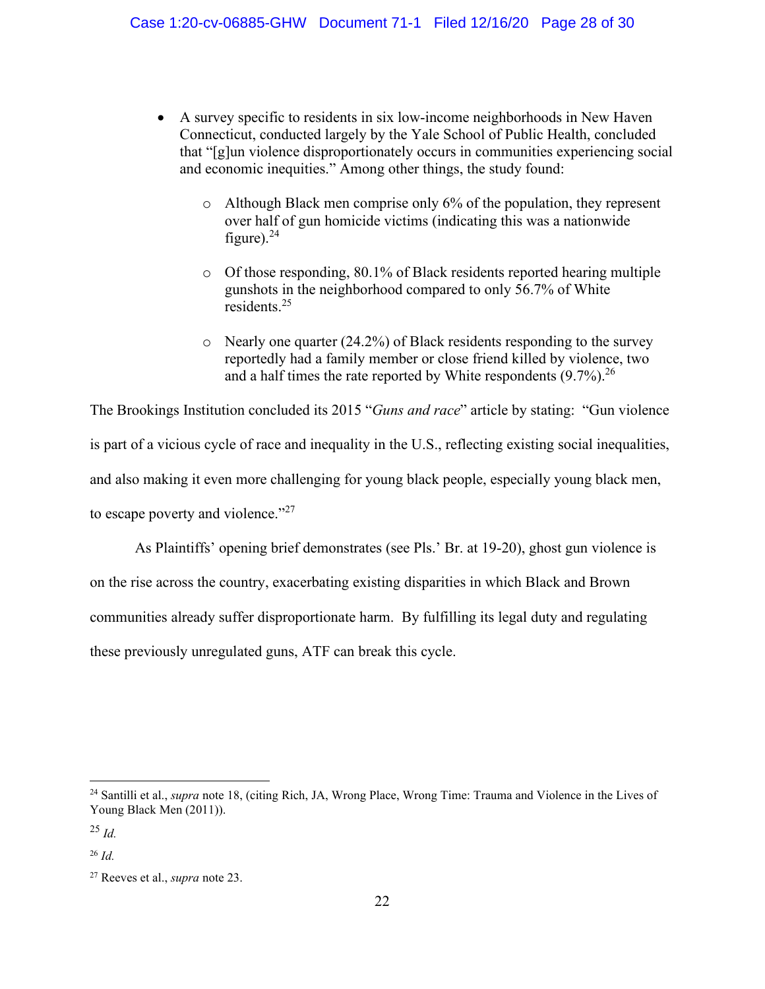- A survey specific to residents in six low-income neighborhoods in New Haven Connecticut, conducted largely by the Yale School of Public Health, concluded that "[g]un violence disproportionately occurs in communities experiencing social and economic inequities." Among other things, the study found:
	- o Although Black men comprise only 6% of the population, they represent over half of gun homicide victims (indicating this was a nationwide figure). $^{24}$
	- o Of those responding, 80.1% of Black residents reported hearing multiple gunshots in the neighborhood compared to only 56.7% of White residents.<sup>25</sup>
	- o Nearly one quarter (24.2%) of Black residents responding to the survey reportedly had a family member or close friend killed by violence, two and a half times the rate reported by White respondents  $(9.7\%)$ .<sup>26</sup>

The Brookings Institution concluded its 2015 "*Guns and race*" article by stating: "Gun violence is part of a vicious cycle of race and inequality in the U.S., reflecting existing social inequalities, and also making it even more challenging for young black people, especially young black men, to escape poverty and violence."<sup>27</sup>

As Plaintiffs' opening brief demonstrates (see Pls.' Br. at 19-20), ghost gun violence is on the rise across the country, exacerbating existing disparities in which Black and Brown communities already suffer disproportionate harm. By fulfilling its legal duty and regulating these previously unregulated guns, ATF can break this cycle.

<sup>24</sup> Santilli et al., *supra* note 18, (citing Rich, JA, Wrong Place, Wrong Time: Trauma and Violence in the Lives of Young Black Men (2011)).

<sup>25</sup> *Id.*

 $26$  *Id.* 

<sup>27</sup> Reeves et al., *supra* note 23.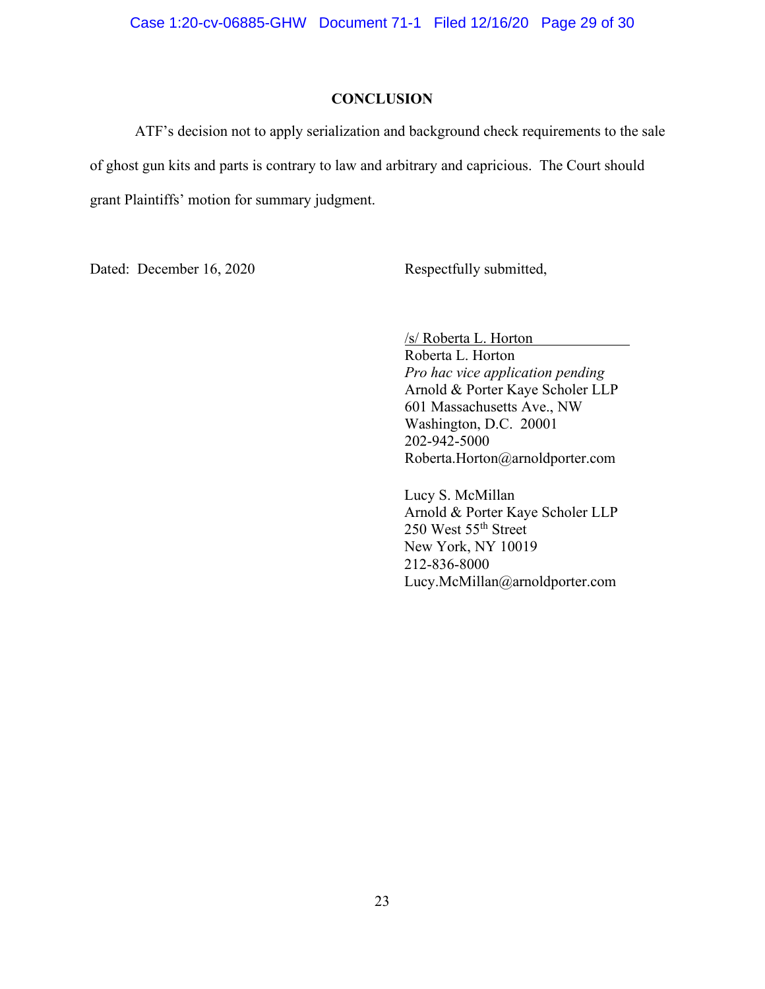#### **CONCLUSION**

ATF's decision not to apply serialization and background check requirements to the sale of ghost gun kits and parts is contrary to law and arbitrary and capricious. The Court should grant Plaintiffs' motion for summary judgment.

Dated: December 16, 2020 Respectfully submitted,

/s/ Roberta L. Horton

Roberta L. Horton *Pro hac vice application pending*  Arnold & Porter Kaye Scholer LLP 601 Massachusetts Ave., NW Washington, D.C. 20001 202-942-5000 Roberta.Horton@arnoldporter.com

Lucy S. McMillan Arnold & Porter Kaye Scholer LLP 250 West 55<sup>th</sup> Street New York, NY 10019 212-836-8000 Lucy.McMillan@arnoldporter.com